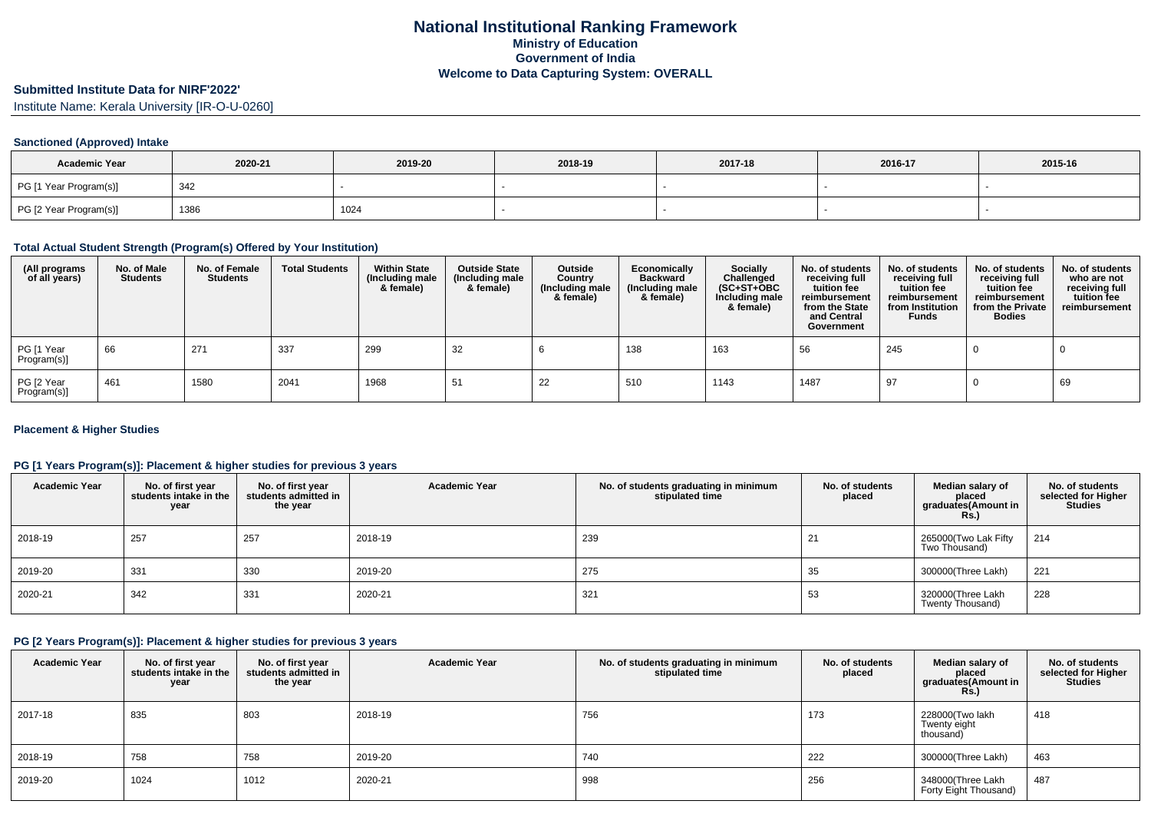# **Submitted Institute Data for NIRF'2022'**

Institute Name: Kerala University [IR-O-U-0260]

### **Sanctioned (Approved) Intake**

| <b>Academic Year</b>   | 2020-21 | 2019-20 | 2018-19 | 2017-18 | 2016-17 | 2015-16 |
|------------------------|---------|---------|---------|---------|---------|---------|
| PG [1 Year Program(s)] | 342     |         |         |         |         |         |
| PG [2 Year Program(s)] | 1386    | 1024    |         |         |         |         |

### **Total Actual Student Strength (Program(s) Offered by Your Institution)**

| (All programs<br>of all years) | No. of Male<br><b>Students</b> | No. of Female<br>Students | <b>Total Students</b> | <b>Within State</b><br>(Including male<br>& female) | <b>Outside State</b><br>(Including male<br>& female) | Outside<br>Country<br>(Including male<br>& female) | Economically<br><b>Backward</b><br>(Including male<br>& female) | <b>Socially</b><br>Challenged<br>$(SC+ST+OBC)$<br>Including male<br>& female) | No. of students<br>receiving full<br>tuition fee<br>reimbursement<br>from the State<br>and Central<br>Government | No. of students<br>receiving full<br>tuition fee<br>reimbursement<br>from Institution<br><b>Funds</b> | No. of students<br>receiving full<br>tuition fee<br>reimbursement<br>from the Private<br><b>Bodies</b> | No. of students<br>who are not<br>receiving full<br>tuition fee<br>reimbursement |
|--------------------------------|--------------------------------|---------------------------|-----------------------|-----------------------------------------------------|------------------------------------------------------|----------------------------------------------------|-----------------------------------------------------------------|-------------------------------------------------------------------------------|------------------------------------------------------------------------------------------------------------------|-------------------------------------------------------------------------------------------------------|--------------------------------------------------------------------------------------------------------|----------------------------------------------------------------------------------|
| PG [1 Year<br>Program(s)]      | 66                             | 271                       | 337                   | 299                                                 | 32                                                   |                                                    | 138                                                             | 163                                                                           | 56                                                                                                               | 245                                                                                                   |                                                                                                        |                                                                                  |
| PG [2 Year<br>Program(s)]      | 461                            | 1580                      | 2041                  | 1968                                                | -51                                                  | 22                                                 | 510                                                             | 1143                                                                          | 1487                                                                                                             | 97                                                                                                    |                                                                                                        | 69                                                                               |

### **Placement & Higher Studies**

### **PG [1 Years Program(s)]: Placement & higher studies for previous 3 years**

| <b>Academic Year</b> | No. of first year<br>students intake in the<br>year | No. of first vear<br>students admitted in<br>the year | <b>Academic Year</b> | No. of students graduating in minimum<br>stipulated time | No. of students<br>placed | Median salary of<br>placed<br>graduates(Amount in<br>Rs.) | No. of students<br>selected for Higher<br><b>Studies</b> |
|----------------------|-----------------------------------------------------|-------------------------------------------------------|----------------------|----------------------------------------------------------|---------------------------|-----------------------------------------------------------|----------------------------------------------------------|
| 2018-19              | 257                                                 | 257                                                   | 2018-19              | 239                                                      | 21                        | 265000(Two Lak Fifty<br>Two Thousand)                     | 214                                                      |
| 2019-20              | 331                                                 | 330                                                   | 2019-20              | 275                                                      | 35                        | 300000(Three Lakh)                                        | 221                                                      |
| 2020-21              | 342                                                 | 331                                                   | 2020-21              | 321                                                      | 53                        | 320000(Three Lakh<br>Twenty Thousand)                     | 228                                                      |

## **PG [2 Years Program(s)]: Placement & higher studies for previous 3 years**

| <b>Academic Year</b> | No. of first year<br>students intake in the<br>year | No. of first vear<br>students admitted in<br>the year | <b>Academic Year</b> | No. of students graduating in minimum<br>stipulated time | No. of students<br>placed | Median salary of<br>placed<br>graduates(Amount in<br><b>Rs.</b> ) | No. of students<br>selected for Higher<br><b>Studies</b> |
|----------------------|-----------------------------------------------------|-------------------------------------------------------|----------------------|----------------------------------------------------------|---------------------------|-------------------------------------------------------------------|----------------------------------------------------------|
| 2017-18              | 835                                                 | 803                                                   | 2018-19              | 756                                                      | 173                       | 228000(Two lakh<br>Twenty eight<br>thousand)                      | 418                                                      |
| 2018-19              | 758                                                 | 758                                                   | 2019-20              | 740                                                      | 222                       | 300000(Three Lakh)                                                | 463                                                      |
| 2019-20              | 1024                                                | 1012                                                  | 2020-21              | 998                                                      | 256                       | 348000(Three Lakh<br>Forty Eight Thousand)                        | 487                                                      |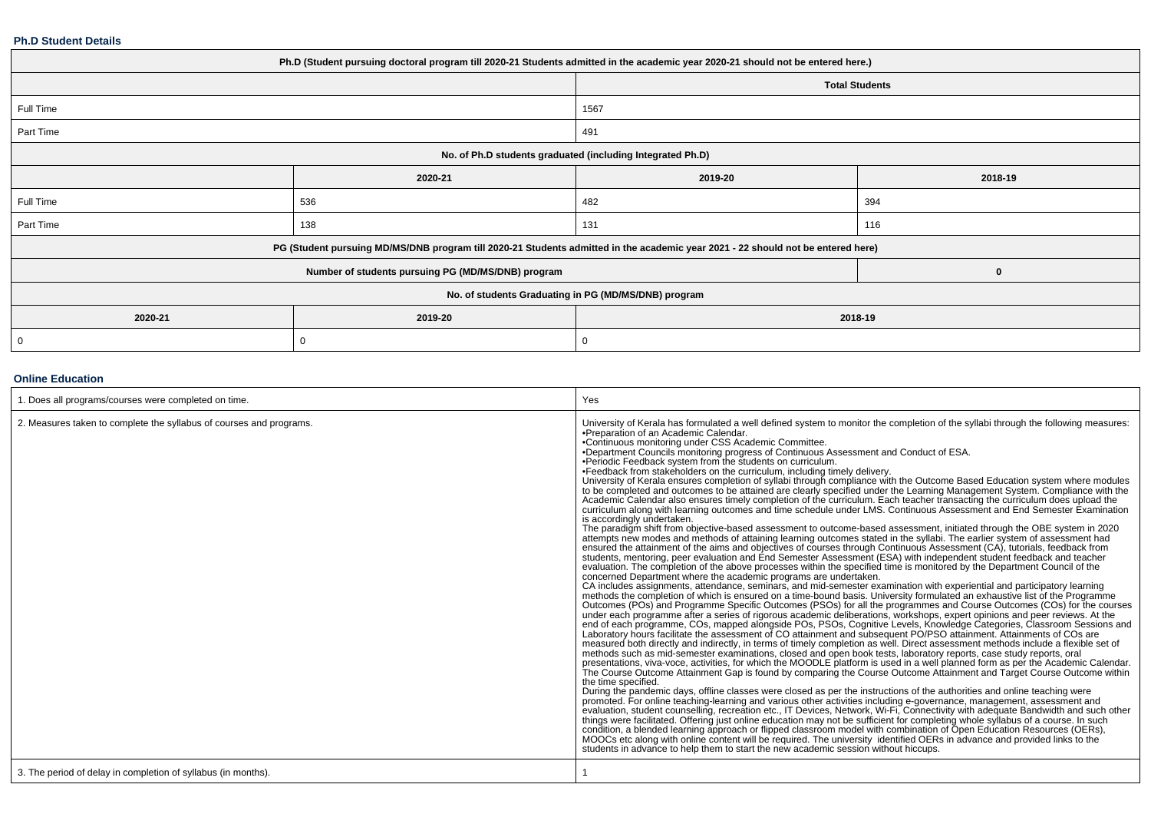### **Ph.D Student Details**

| Ph.D (Student pursuing doctoral program till 2020-21 Students admitted in the academic year 2020-21 should not be entered here.) |                                                    |                                                                                                                                  |                       |  |  |
|----------------------------------------------------------------------------------------------------------------------------------|----------------------------------------------------|----------------------------------------------------------------------------------------------------------------------------------|-----------------------|--|--|
|                                                                                                                                  |                                                    |                                                                                                                                  | <b>Total Students</b> |  |  |
| Full Time                                                                                                                        |                                                    | 1567                                                                                                                             |                       |  |  |
| Part Time                                                                                                                        |                                                    | 491                                                                                                                              |                       |  |  |
| No. of Ph.D students graduated (including Integrated Ph.D)                                                                       |                                                    |                                                                                                                                  |                       |  |  |
|                                                                                                                                  | 2020-21                                            | 2019-20                                                                                                                          | 2018-19               |  |  |
| Full Time                                                                                                                        | 536                                                | 482                                                                                                                              | 394                   |  |  |
| Part Time                                                                                                                        | 138                                                | 131                                                                                                                              | 116                   |  |  |
|                                                                                                                                  |                                                    | PG (Student pursuing MD/MS/DNB program till 2020-21 Students admitted in the academic year 2021 - 22 should not be entered here) |                       |  |  |
|                                                                                                                                  | Number of students pursuing PG (MD/MS/DNB) program |                                                                                                                                  | 0                     |  |  |
| No. of students Graduating in PG (MD/MS/DNB) program                                                                             |                                                    |                                                                                                                                  |                       |  |  |
| 2020-21                                                                                                                          | 2019-20<br>2018-19                                 |                                                                                                                                  |                       |  |  |
| 0                                                                                                                                | 0                                                  | $\Omega$                                                                                                                         |                       |  |  |

### **Online Education**

| 1. Does all programs/courses were completed on time.                | Yes                                                                                                                                                                                                                                                                                                                                                                                                                                                                                                                                                                                                                                                                                                                                                                                                                                                                                                                                                                                                                                                                                                                                                                                                                                                                                                                                                                                                                                                                                                                                                                                                                                                                                                                                                                                                                                                                                                                                                                                                                                                                                                                                                                                                                                                                                                                                                                                                                                                                                                                                                                                                                                                                                                                                                                                                                                                                                                                                                                                                                                                                                                                                                                                                                                                                                                                                                                                                                                                                                                                                                                                                                                                                                                                                                                                                                                                                                               |
|---------------------------------------------------------------------|---------------------------------------------------------------------------------------------------------------------------------------------------------------------------------------------------------------------------------------------------------------------------------------------------------------------------------------------------------------------------------------------------------------------------------------------------------------------------------------------------------------------------------------------------------------------------------------------------------------------------------------------------------------------------------------------------------------------------------------------------------------------------------------------------------------------------------------------------------------------------------------------------------------------------------------------------------------------------------------------------------------------------------------------------------------------------------------------------------------------------------------------------------------------------------------------------------------------------------------------------------------------------------------------------------------------------------------------------------------------------------------------------------------------------------------------------------------------------------------------------------------------------------------------------------------------------------------------------------------------------------------------------------------------------------------------------------------------------------------------------------------------------------------------------------------------------------------------------------------------------------------------------------------------------------------------------------------------------------------------------------------------------------------------------------------------------------------------------------------------------------------------------------------------------------------------------------------------------------------------------------------------------------------------------------------------------------------------------------------------------------------------------------------------------------------------------------------------------------------------------------------------------------------------------------------------------------------------------------------------------------------------------------------------------------------------------------------------------------------------------------------------------------------------------------------------------------------------------------------------------------------------------------------------------------------------------------------------------------------------------------------------------------------------------------------------------------------------------------------------------------------------------------------------------------------------------------------------------------------------------------------------------------------------------------------------------------------------------------------------------------------------------------------------------------------------------------------------------------------------------------------------------------------------------------------------------------------------------------------------------------------------------------------------------------------------------------------------------------------------------------------------------------------------------------------------------------------------------------------------------------------------------|
| 2. Measures taken to complete the syllabus of courses and programs. | University of Kerala has formulated a well defined system to monitor the completion of the syllabi through the following measures:<br>.Preparation of an Academic Calendar.<br>•Continuous monitoring under CSS Academic Committee.<br>•Department Councils monitoring progress of Continuous Assessment and Conduct of ESA.<br>.Periodic Feedback system from the students on curriculum.<br>•Feedback from stakeholders on the curriculum, including timely delivery.<br>University of Kerala ensures completion of syllabi through compliance with the Outcome Based Education system where modules<br>to be completed and outcomes to be attained are clearly specified under the Learning Management System. Compliance with the<br>Academic Calendar also ensures timely completion of the curriculum. Each teacher transacting the curriculum does upload the<br>curriculum along with learning outcomes and time schedule under LMS. Continuous Assessment and End Semester Examination<br>is accordingly undertaken.<br>The paradigm shift from objective-based assessment to outcome-based assessment, initiated through the OBE system in 2020<br>attempts new modes and methods of attaining learning outcomes stated in the syllabi. The earlier system of assessment had<br>ensured the attainment of the aims and objectives of courses through Continuous Assessment (CA), tutorials, feedback from<br>students, mentoring, peer evaluation and End Semester Assessment (ESA) with independent student feedback and teacher<br>evaluation. The completion of the above processes within the specified time is monitored by the Department Council of the<br>concerned Department where the academic programs are undertaken.<br>CA includes assignments, attendance, seminars, and mid-semester examination with experiential and participatory learning<br>methods the completion of which is ensured on a time-bound basis. University formulated an exhaustive<br>Outcomes (POs) and Programme Specific Outcomes (PSOs) for all the programmes and Course Outcomes (COs) for the courses<br>under each programme after a series of rigorous academic deliberations, workshops, expert opinions and peer reviews. At the<br>end of each programme, COs, mapped alongside POs, PSOs, Cognitive Levels, Knowledge Categories, Classroom Sessions and<br>Laboratory hours facilitate the assessment of CO attainment and subsequent PO/PSO attainment. Attainments of COs are<br>measured both directly and indirectly, in terms of timely completion as well. Direct assessment methods include a flexible set of<br>methods such as mid-semester examinations, closed and open book tests, laboratory reports, case study reports, oral<br>presentations, viva-voce, activities, for which the MOODLE platform is used in a well planned form as per the Academic Calendar.<br>The Course Outcome Attainment Gap is found by comparing the Course Outcome Attainment and Target Course Outcome within<br>the time specified.<br>During the pandemic days, offline classes were closed as per the instructions of the authorities and online teaching were<br>promoted. For online teaching-learning and various other activities including e-governance, management, assessment and<br>evaluation, student counselling, recreation etc., IT Devices, Network, Wi-Fi, Connectivity with adequat<br>things were facilitated. Offering just online education may not be sufficient for completing whole syllabus of a course. In such<br>condition, a blended learning approach or flipped classroom model with combination of Open Education Resources (OERs),<br>MOOCs etc along with online content will be required. The university identified OERs in advance and provided links to the<br>students in advance to help them to start the new academic session without hiccups. |
| 3. The period of delay in completion of syllabus (in months).       |                                                                                                                                                                                                                                                                                                                                                                                                                                                                                                                                                                                                                                                                                                                                                                                                                                                                                                                                                                                                                                                                                                                                                                                                                                                                                                                                                                                                                                                                                                                                                                                                                                                                                                                                                                                                                                                                                                                                                                                                                                                                                                                                                                                                                                                                                                                                                                                                                                                                                                                                                                                                                                                                                                                                                                                                                                                                                                                                                                                                                                                                                                                                                                                                                                                                                                                                                                                                                                                                                                                                                                                                                                                                                                                                                                                                                                                                                                   |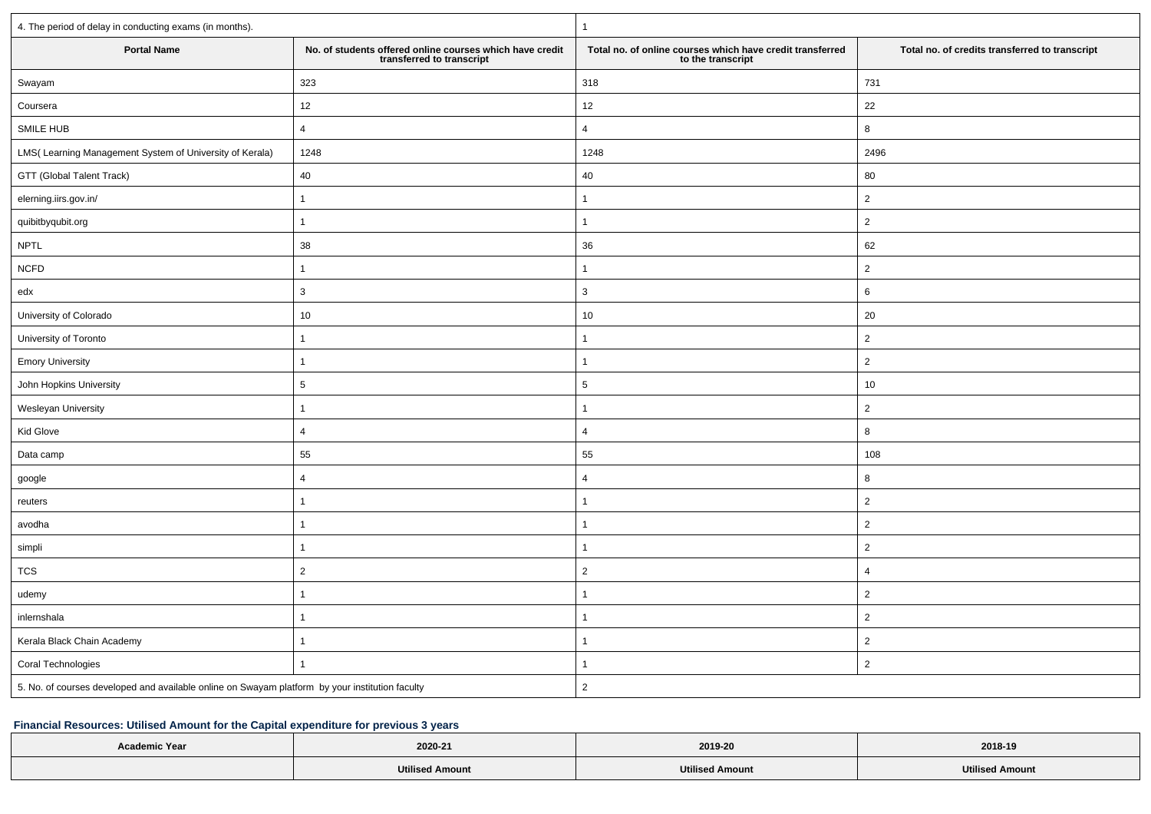| 4. The period of delay in conducting exams (in months).                                         |                                                                                       | $\mathbf{1}$                                                                   |                                                |  |  |
|-------------------------------------------------------------------------------------------------|---------------------------------------------------------------------------------------|--------------------------------------------------------------------------------|------------------------------------------------|--|--|
| <b>Portal Name</b>                                                                              | No. of students offered online courses which have credit<br>transferred to transcript | Total no. of online courses which have credit transferred<br>to the transcript | Total no. of credits transferred to transcript |  |  |
| Swayam                                                                                          | 323                                                                                   | 318                                                                            | 731                                            |  |  |
| Coursera                                                                                        | $12\,$                                                                                | 12                                                                             | 22                                             |  |  |
| SMILE HUB                                                                                       | $\overline{4}$                                                                        | $\overline{4}$                                                                 | 8                                              |  |  |
| LMS(Learning Management System of University of Kerala)                                         | 1248                                                                                  | 1248                                                                           | 2496                                           |  |  |
| GTT (Global Talent Track)                                                                       | 40                                                                                    | 40                                                                             | 80                                             |  |  |
| elerning.iirs.gov.in/                                                                           | $\mathbf{1}$                                                                          | $\mathbf{1}$                                                                   | $\overline{2}$                                 |  |  |
| quibitbyqubit.org                                                                               | $\overline{1}$                                                                        | $\mathbf{1}$                                                                   | $\overline{2}$                                 |  |  |
| <b>NPTL</b>                                                                                     | 38                                                                                    | 36                                                                             | 62                                             |  |  |
| <b>NCFD</b>                                                                                     | $\overline{1}$                                                                        | 1                                                                              | $\overline{2}$                                 |  |  |
| edx                                                                                             | 3                                                                                     | $\mathbf{3}$                                                                   | 6                                              |  |  |
| University of Colorado                                                                          | 10                                                                                    | $10\,$                                                                         | 20                                             |  |  |
| University of Toronto                                                                           | $\mathbf{1}$                                                                          | $\mathbf{1}$                                                                   | $\overline{2}$                                 |  |  |
| <b>Emory University</b>                                                                         | $\mathbf{1}$                                                                          | $\mathbf{1}$                                                                   | $\overline{2}$                                 |  |  |
| John Hopkins University                                                                         | 5                                                                                     | $\overline{5}$                                                                 | 10                                             |  |  |
| Wesleyan University                                                                             | $\mathbf{1}$                                                                          | 1                                                                              | $\overline{2}$                                 |  |  |
| Kid Glove                                                                                       | $\overline{4}$                                                                        | $\overline{4}$                                                                 | 8                                              |  |  |
| Data camp                                                                                       | 55                                                                                    | 55                                                                             | 108                                            |  |  |
| google                                                                                          | $\overline{4}$                                                                        | $\overline{4}$                                                                 | 8                                              |  |  |
| reuters                                                                                         | $\mathbf{1}$                                                                          | $\mathbf{1}$                                                                   | $\overline{2}$                                 |  |  |
| avodha                                                                                          | $\overline{1}$                                                                        | $\mathbf{1}$                                                                   | $\overline{2}$                                 |  |  |
| simpli                                                                                          | $\overline{1}$                                                                        | $\mathbf{1}$                                                                   | $\overline{2}$                                 |  |  |
| $\mathop{\text{\rm TCS}}$                                                                       | $\overline{2}$                                                                        | $\overline{2}$                                                                 | $\overline{4}$                                 |  |  |
| udemy                                                                                           | $\overline{1}$                                                                        | $\mathbf{1}$                                                                   | $\sqrt{2}$                                     |  |  |
| inlernshala                                                                                     | $\overline{1}$                                                                        | 1                                                                              | $\overline{2}$                                 |  |  |
| Kerala Black Chain Academy                                                                      | $\mathbf{1}$                                                                          | $\mathbf{1}$                                                                   | $\overline{2}$                                 |  |  |
| Coral Technologies                                                                              | $\overline{1}$                                                                        | $\mathbf{1}$                                                                   | $\overline{2}$                                 |  |  |
| 5. No. of courses developed and available online on Swayam platform by your institution faculty |                                                                                       | $\overline{2}$                                                                 |                                                |  |  |

# **Financial Resources: Utilised Amount for the Capital expenditure for previous 3 years**

| <b>Academic Year</b> | 2020-21                | 2019-20                | 2018-19                |
|----------------------|------------------------|------------------------|------------------------|
|                      | <b>Utilised Amount</b> | <b>Utilised Amount</b> | <b>Utilised Amount</b> |
|                      |                        |                        |                        |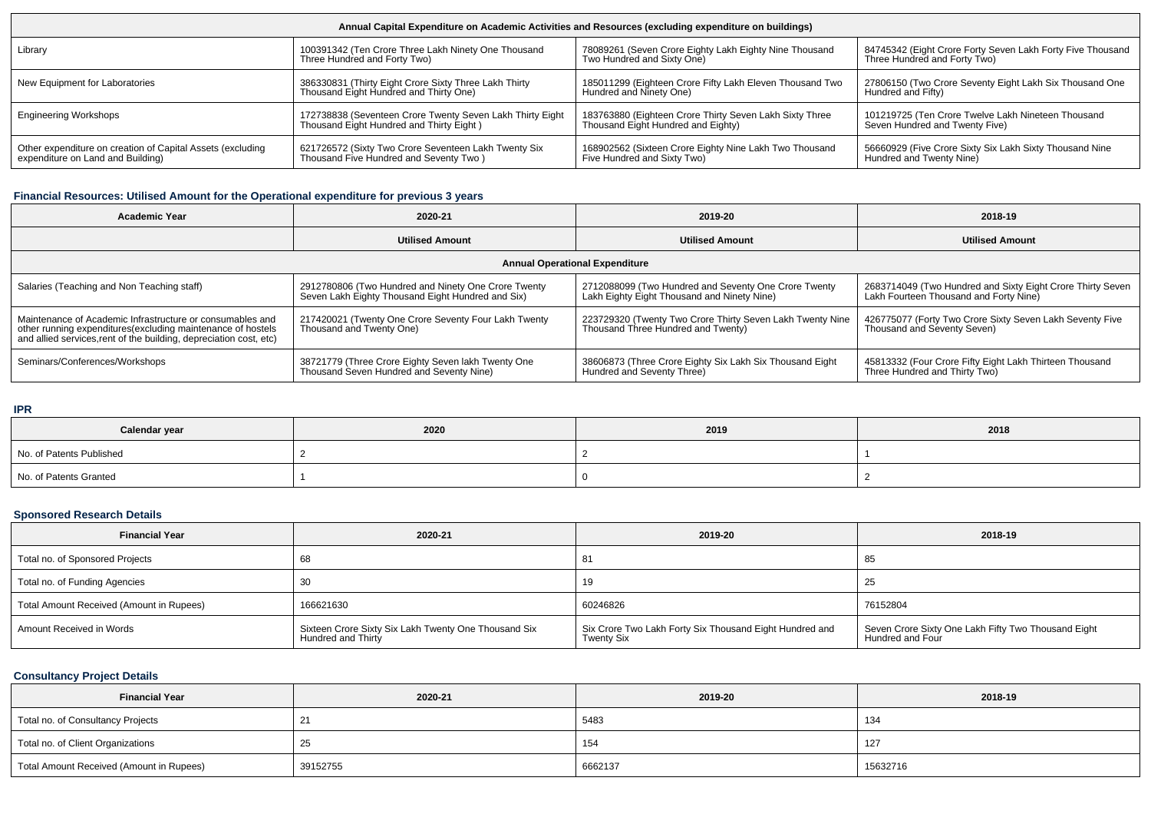| Annual Capital Expenditure on Academic Activities and Resources (excluding expenditure on buildings) |                                                           |                                                          |                                                            |  |  |  |
|------------------------------------------------------------------------------------------------------|-----------------------------------------------------------|----------------------------------------------------------|------------------------------------------------------------|--|--|--|
| Library                                                                                              | 100391342 (Ten Crore Three Lakh Ninety One Thousand       | 78089261 (Seven Crore Eighty Lakh Eighty Nine Thousand   | 84745342 (Eight Crore Forty Seven Lakh Forty Five Thousand |  |  |  |
|                                                                                                      | Three Hundred and Forty Two)                              | Two Hundred and Sixty One)                               | Three Hundred and Forty Two)                               |  |  |  |
| New Equipment for Laboratories                                                                       | 386330831 (Thirty Eight Crore Sixty Three Lakh Thirty     | 185011299 (Eighteen Crore Fifty Lakh Eleven Thousand Two | 27806150 (Two Crore Seventy Eight Lakh Six Thousand One    |  |  |  |
|                                                                                                      | Thousand Eight Hundred and Thirty One)                    | Hundred and Ninety One)                                  | Hundred and Fifty)                                         |  |  |  |
| <b>Engineering Workshops</b>                                                                         | 172738838 (Seventeen Crore Twenty Seven Lakh Thirty Eight | 183763880 (Eighteen Crore Thirty Seven Lakh Sixty Three  | 101219725 (Ten Crore Twelve Lakh Nineteen Thousand         |  |  |  |
|                                                                                                      | Thousand Eight Hundred and Thirty Eight)                  | Thousand Eight Hundred and Eighty)                       | Seven Hundred and Twenty Five)                             |  |  |  |
| Other expenditure on creation of Capital Assets (excluding                                           | 621726572 (Sixty Two Crore Seventeen Lakh Twenty Six      | 168902562 (Sixteen Crore Eighty Nine Lakh Two Thousand   | 56660929 (Five Crore Sixty Six Lakh Sixty Thousand Nine    |  |  |  |
| expenditure on Land and Building)                                                                    | Thousand Five Hundred and Seventy Two)                    | Five Hundred and Sixty Two)                              | Hundred and Twenty Nine)                                   |  |  |  |

### **Financial Resources: Utilised Amount for the Operational expenditure for previous 3 years**

| <b>Academic Year</b>                                                                                                                                                                            | 2020-21                                                                                                  | 2019-20                                                                                             | 2018-19                                                                                              |  |  |  |
|-------------------------------------------------------------------------------------------------------------------------------------------------------------------------------------------------|----------------------------------------------------------------------------------------------------------|-----------------------------------------------------------------------------------------------------|------------------------------------------------------------------------------------------------------|--|--|--|
|                                                                                                                                                                                                 | <b>Utilised Amount</b>                                                                                   | <b>Utilised Amount</b>                                                                              | <b>Utilised Amount</b>                                                                               |  |  |  |
| <b>Annual Operational Expenditure</b>                                                                                                                                                           |                                                                                                          |                                                                                                     |                                                                                                      |  |  |  |
| Salaries (Teaching and Non Teaching staff)                                                                                                                                                      | 2912780806 (Two Hundred and Ninety One Crore Twenty<br>Seven Lakh Eighty Thousand Eight Hundred and Six) | 2712088099 (Two Hundred and Seventy One Crore Twenty<br>Lakh Eighty Eight Thousand and Ninety Nine) | 2683714049 (Two Hundred and Sixty Eight Crore Thirty Seven<br>Lakh Fourteen Thousand and Forty Nine) |  |  |  |
| Maintenance of Academic Infrastructure or consumables and<br>other running expenditures (excluding maintenance of hostels<br>and allied services, rent of the building, depreciation cost, etc) | 217420021 (Twenty One Crore Seventy Four Lakh Twenty<br>Thousand and Twenty One)                         | 223729320 (Twenty Two Crore Thirty Seven Lakh Twenty Nine<br>Thousand Three Hundred and Twenty)     | 426775077 (Forty Two Crore Sixty Seven Lakh Seventy Five<br>Thousand and Seventy Seven)              |  |  |  |
| Seminars/Conferences/Workshops                                                                                                                                                                  | 38721779 (Three Crore Eighty Seven lakh Twenty One<br>Thousand Seven Hundred and Seventy Nine)           | 38606873 (Three Crore Eighty Six Lakh Six Thousand Eight<br>Hundred and Seventy Three)              | 45813332 (Four Crore Fifty Eight Lakh Thirteen Thousand<br>Three Hundred and Thirty Two)             |  |  |  |

#### **IPR**

| .                        |      |      |      |  |  |  |
|--------------------------|------|------|------|--|--|--|
| Calendar year            | 2020 | 2019 | 2018 |  |  |  |
| No. of Patents Published |      |      |      |  |  |  |
| No. of Patents Granted   |      |      |      |  |  |  |

## **Sponsored Research Details**

| <b>Financial Year</b>                    | 2020-21                                                                    | 2019-20                                                                      | 2018-19                                                                 |
|------------------------------------------|----------------------------------------------------------------------------|------------------------------------------------------------------------------|-------------------------------------------------------------------------|
| Total no. of Sponsored Projects          |                                                                            | -81                                                                          | -85                                                                     |
| Total no. of Funding Agencies            |                                                                            | 19                                                                           | 25                                                                      |
| Total Amount Received (Amount in Rupees) | 166621630                                                                  | 60246826                                                                     | 76152804                                                                |
| Amount Received in Words                 | Sixteen Crore Sixty Six Lakh Twenty One Thousand Six<br>Hundred and Thirty | Six Crore Two Lakh Forty Six Thousand Eight Hundred and<br><b>Twenty Six</b> | Seven Crore Sixty One Lakh Fifty Two Thousand Eight<br>Hundred and Four |

# **Consultancy Project Details**

| <b>Financial Year</b>                    | 2020-21  | 2019-20 | 2018-19  |
|------------------------------------------|----------|---------|----------|
| Total no. of Consultancy Projects        |          | 5483    | 134      |
| Total no. of Client Organizations        | 25       | 154     | 127      |
| Total Amount Received (Amount in Rupees) | 39152755 | 6662137 | 15632716 |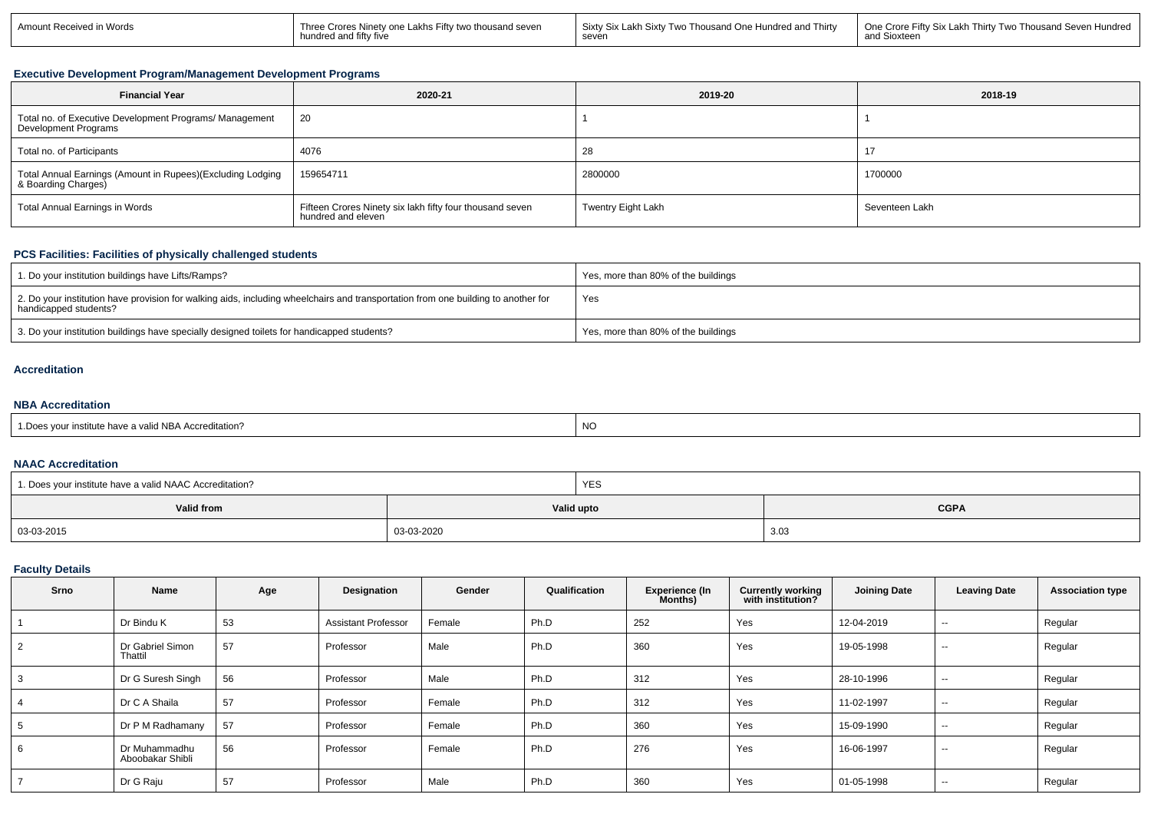| Amount Received in Words | Three Crores Ninety one Lakhs Fifty two thousand seven<br>hundred and fifty five | Two Thousand One Hundred and Thirty<br>Sixtv Six Lakh Sixtv ⊺<br>seven | 1 One Crore Fifty Six Lakh Thirty Two Thousand Seven Hundred<br>$\ddot{\phantom{0}}$<br>l Sioxteen |
|--------------------------|----------------------------------------------------------------------------------|------------------------------------------------------------------------|----------------------------------------------------------------------------------------------------|
|--------------------------|----------------------------------------------------------------------------------|------------------------------------------------------------------------|----------------------------------------------------------------------------------------------------|

### **Executive Development Program/Management Development Programs**

| <b>Financial Year</b>                                                             | 2020-21                                                                        | 2019-20            | 2018-19        |
|-----------------------------------------------------------------------------------|--------------------------------------------------------------------------------|--------------------|----------------|
| Total no. of Executive Development Programs/ Management<br>Development Programs   | 20                                                                             |                    |                |
| Total no. of Participants                                                         | 4076                                                                           | 28                 | 17             |
| Total Annual Earnings (Amount in Rupees)(Excluding Lodging<br>& Boarding Charges) | 159654711                                                                      | 2800000            | 1700000        |
| Total Annual Earnings in Words                                                    | Fifteen Crores Ninety six lakh fifty four thousand seven<br>hundred and eleven | Twentry Eight Lakh | Seventeen Lakh |

## **PCS Facilities: Facilities of physically challenged students**

| 1. Do your institution buildings have Lifts/Ramps?                                                                                                         | Yes, more than 80% of the buildings |
|------------------------------------------------------------------------------------------------------------------------------------------------------------|-------------------------------------|
| 2. Do your institution have provision for walking aids, including wheelchairs and transportation from one building to another for<br>handicapped students? | Yes                                 |
| 3. Do your institution buildings have specially designed toilets for handicapped students?                                                                 | Yes, more than 80% of the buildings |

### **Accreditation**

### **NBA Accreditation**

| 1. Does your institute have a valid NBA Accreditation?<br><b>NC</b> |  |
|---------------------------------------------------------------------|--|
|---------------------------------------------------------------------|--|

### **NAAC Accreditation**

| 1. Does your institute have a valid NAAC Accreditation? |            | YES        |             |  |  |
|---------------------------------------------------------|------------|------------|-------------|--|--|
| Valid from                                              |            | Valid upto | <b>CGPA</b> |  |  |
| 03-03-2015                                              | 03-03-2020 |            | 3.03        |  |  |

## **Faculty Details**

| Srno           | Name                              | Age | Designation                | Gender | Qualification | <b>Experience (In</b><br>Months) | <b>Currently working</b><br>with institution? | <b>Joining Date</b> | <b>Leaving Date</b> | <b>Association type</b> |
|----------------|-----------------------------------|-----|----------------------------|--------|---------------|----------------------------------|-----------------------------------------------|---------------------|---------------------|-------------------------|
|                | Dr Bindu K                        | 53  | <b>Assistant Professor</b> | Female | Ph.D          | 252                              | Yes                                           | 12-04-2019          | $\sim$              | Regular                 |
| $\overline{2}$ | Dr Gabriel Simon<br>Thattil       | 57  | Professor                  | Male   | Ph.D          | 360                              | Yes                                           | 19-05-1998          | $\sim$              | Regular                 |
| 3              | Dr G Suresh Singh                 | 56  | Professor                  | Male   | Ph.D          | 312                              | Yes                                           | 28-10-1996          | $\sim$              | Regular                 |
|                | Dr C A Shaila                     | 57  | Professor                  | Female | Ph.D          | 312                              | Yes                                           | 11-02-1997          | $- -$               | Regular                 |
| 5              | Dr P M Radhamany                  | 57  | Professor                  | Female | Ph.D          | 360                              | Yes                                           | 15-09-1990          | $- -$               | Regular                 |
| 6              | Dr Muhammadhu<br>Aboobakar Shibli | 56  | Professor                  | Female | Ph.D          | 276                              | Yes                                           | 16-06-1997          | $\sim$              | Regular                 |
| $\overline{ }$ | Dr G Raju                         | 57  | Professor                  | Male   | Ph.D          | 360                              | Yes                                           | 01-05-1998          | $\sim$              | Regular                 |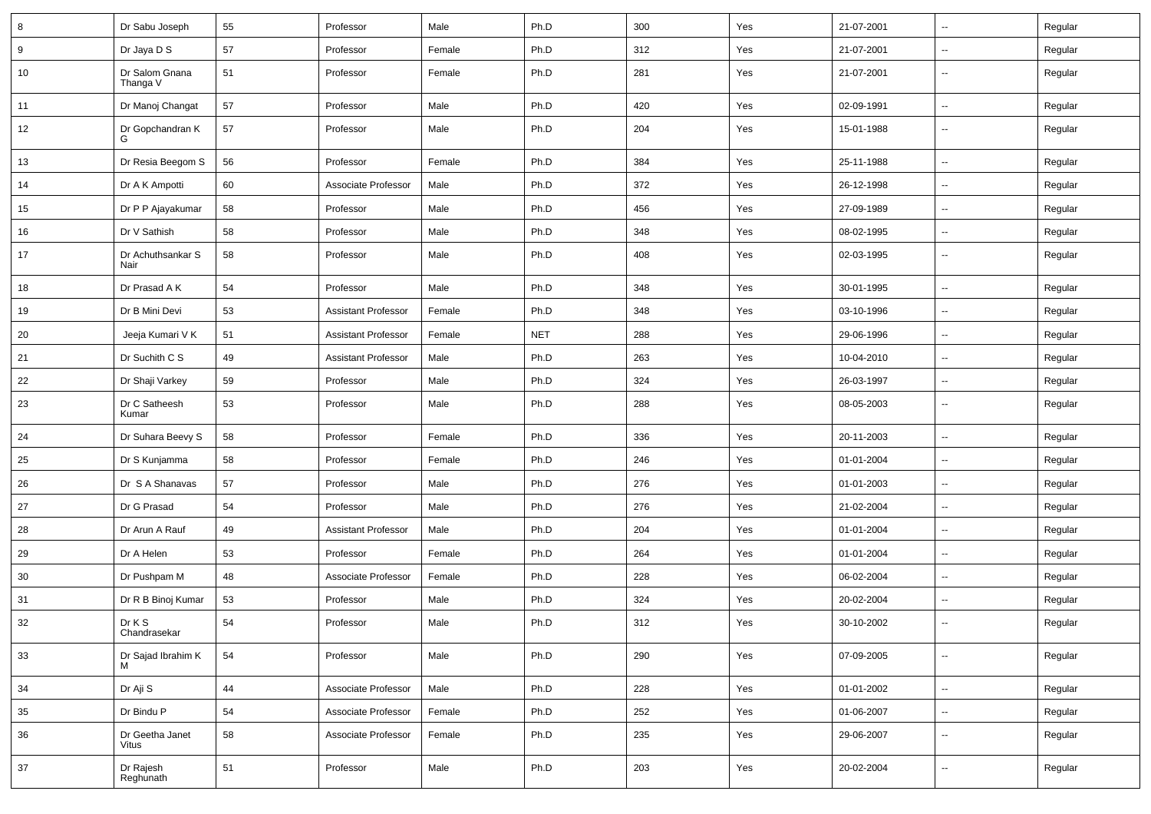| 8      | Dr Sabu Joseph             | 55 | Professor                  | Male   | Ph.D       | 300 | Yes | 21-07-2001 | $\overline{a}$           | Regular |
|--------|----------------------------|----|----------------------------|--------|------------|-----|-----|------------|--------------------------|---------|
| 9      | Dr Jaya D S                | 57 | Professor                  | Female | Ph.D       | 312 | Yes | 21-07-2001 | $\overline{\phantom{a}}$ | Regular |
| 10     | Dr Salom Gnana<br>Thanga V | 51 | Professor                  | Female | Ph.D       | 281 | Yes | 21-07-2001 | $\overline{\phantom{a}}$ | Regular |
| 11     | Dr Manoj Changat           | 57 | Professor                  | Male   | Ph.D       | 420 | Yes | 02-09-1991 | Ξ.                       | Regular |
| 12     | Dr Gopchandran K           | 57 | Professor                  | Male   | Ph.D       | 204 | Yes | 15-01-1988 | $\overline{a}$           | Regular |
| 13     | Dr Resia Beegom S          | 56 | Professor                  | Female | Ph.D       | 384 | Yes | 25-11-1988 | $\overline{\phantom{a}}$ | Regular |
| 14     | Dr A K Ampotti             | 60 | Associate Professor        | Male   | Ph.D       | 372 | Yes | 26-12-1998 | $\overline{a}$           | Regular |
| 15     | Dr P P Ajayakumar          | 58 | Professor                  | Male   | Ph.D       | 456 | Yes | 27-09-1989 | Ξ.                       | Regular |
| 16     | Dr V Sathish               | 58 | Professor                  | Male   | Ph.D       | 348 | Yes | 08-02-1995 | $\overline{\phantom{a}}$ | Regular |
| 17     | Dr Achuthsankar S<br>Nair  | 58 | Professor                  | Male   | Ph.D       | 408 | Yes | 02-03-1995 | --                       | Regular |
| 18     | Dr Prasad A K              | 54 | Professor                  | Male   | Ph.D       | 348 | Yes | 30-01-1995 | Ξ.                       | Regular |
| 19     | Dr B Mini Devi             | 53 | Assistant Professor        | Female | Ph.D       | 348 | Yes | 03-10-1996 | Ξ.                       | Regular |
| 20     | Jeeja Kumari V K           | 51 | <b>Assistant Professor</b> | Female | <b>NET</b> | 288 | Yes | 29-06-1996 | $\overline{a}$           | Regular |
| 21     | Dr Suchith C S             | 49 | <b>Assistant Professor</b> | Male   | Ph.D       | 263 | Yes | 10-04-2010 | $\overline{\phantom{a}}$ | Regular |
| 22     | Dr Shaji Varkey            | 59 | Professor                  | Male   | Ph.D       | 324 | Yes | 26-03-1997 | Ξ.                       | Regular |
| 23     | Dr C Satheesh<br>Kumar     | 53 | Professor                  | Male   | Ph.D       | 288 | Yes | 08-05-2003 | u.                       | Regular |
| 24     | Dr Suhara Beevy S          | 58 | Professor                  | Female | Ph.D       | 336 | Yes | 20-11-2003 | $\overline{\phantom{a}}$ | Regular |
| 25     | Dr S Kunjamma              | 58 | Professor                  | Female | Ph.D       | 246 | Yes | 01-01-2004 | $\overline{\phantom{a}}$ | Regular |
| 26     | Dr S A Shanavas            | 57 | Professor                  | Male   | Ph.D       | 276 | Yes | 01-01-2003 | --                       | Regular |
| 27     | Dr G Prasad                | 54 | Professor                  | Male   | Ph.D       | 276 | Yes | 21-02-2004 | --                       | Regular |
| 28     | Dr Arun A Rauf             | 49 | <b>Assistant Professor</b> | Male   | Ph.D       | 204 | Yes | 01-01-2004 | $\overline{\phantom{a}}$ | Regular |
| 29     | Dr A Helen                 | 53 | Professor                  | Female | Ph.D       | 264 | Yes | 01-01-2004 | Ξ.                       | Regular |
| 30     | Dr Pushpam M               | 48 | Associate Professor        | Female | Ph.D       | 228 | Yes | 06-02-2004 | $\overline{\phantom{a}}$ | Regular |
| 31     | Dr R B Binoj Kumar         | 53 | Professor                  | Male   | Ph.D       | 324 | Yes | 20-02-2004 | --                       | Regular |
| 32     | Dr K S<br>Chandrasekar     | 54 | Professor                  | Male   | Ph.D       | 312 | Yes | 30-10-2002 | $\overline{\phantom{a}}$ | Regular |
| 33     | Dr Sajad Ibrahim K<br>M    | 54 | Professor                  | Male   | Ph.D       | 290 | Yes | 07-09-2005 | Ξ.                       | Regular |
| 34     | Dr Aji S                   | 44 | Associate Professor        | Male   | Ph.D       | 228 | Yes | 01-01-2002 | Ξ.                       | Regular |
| 35     | Dr Bindu P                 | 54 | Associate Professor        | Female | Ph.D       | 252 | Yes | 01-06-2007 | ۰.                       | Regular |
| 36     | Dr Geetha Janet<br>Vitus   | 58 | Associate Professor        | Female | Ph.D       | 235 | Yes | 29-06-2007 | $\overline{\phantom{a}}$ | Regular |
| $37\,$ | Dr Rajesh<br>Reghunath     | 51 | Professor                  | Male   | Ph.D       | 203 | Yes | 20-02-2004 | ۰.                       | Regular |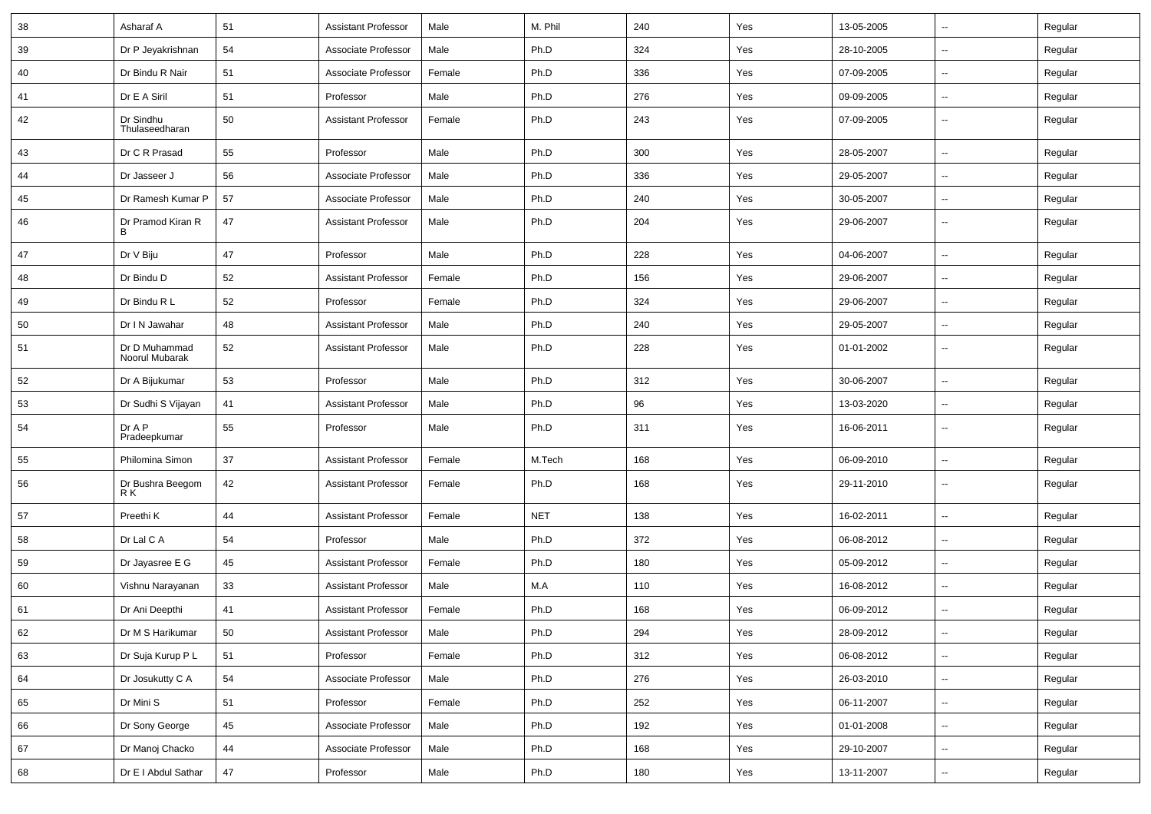| 38 | Asharaf A                       | 51 | <b>Assistant Professor</b> | Male   | M. Phil    | 240 | Yes | 13-05-2005 | ⊶.                       | Regular |
|----|---------------------------------|----|----------------------------|--------|------------|-----|-----|------------|--------------------------|---------|
| 39 | Dr P Jeyakrishnan               | 54 | Associate Professor        | Male   | Ph.D       | 324 | Yes | 28-10-2005 | -−                       | Regular |
| 40 | Dr Bindu R Nair                 | 51 | Associate Professor        | Female | Ph.D       | 336 | Yes | 07-09-2005 | $\overline{\phantom{a}}$ | Regular |
| 41 | Dr E A Siril                    | 51 | Professor                  | Male   | Ph.D       | 276 | Yes | 09-09-2005 | $\overline{\phantom{a}}$ | Regular |
| 42 | Dr Sindhu<br>Thulaseedharan     | 50 | <b>Assistant Professor</b> | Female | Ph.D       | 243 | Yes | 07-09-2005 | --                       | Regular |
| 43 | Dr C R Prasad                   | 55 | Professor                  | Male   | Ph.D       | 300 | Yes | 28-05-2007 | --                       | Regular |
| 44 | Dr Jasseer J                    | 56 | Associate Professor        | Male   | Ph.D       | 336 | Yes | 29-05-2007 | $\overline{\phantom{a}}$ | Regular |
| 45 | Dr Ramesh Kumar P               | 57 | Associate Professor        | Male   | Ph.D       | 240 | Yes | 30-05-2007 | $\overline{\phantom{a}}$ | Regular |
| 46 | Dr Pramod Kiran R<br>B          | 47 | <b>Assistant Professor</b> | Male   | Ph.D       | 204 | Yes | 29-06-2007 | $\overline{\phantom{a}}$ | Regular |
| 47 | Dr V Biju                       | 47 | Professor                  | Male   | Ph.D       | 228 | Yes | 04-06-2007 | -−                       | Regular |
| 48 | Dr Bindu D                      | 52 | <b>Assistant Professor</b> | Female | Ph.D       | 156 | Yes | 29-06-2007 | $\overline{\phantom{a}}$ | Regular |
| 49 | Dr Bindu R L                    | 52 | Professor                  | Female | Ph.D       | 324 | Yes | 29-06-2007 | $\overline{\phantom{a}}$ | Regular |
| 50 | Dr I N Jawahar                  | 48 | Assistant Professor        | Male   | Ph.D       | 240 | Yes | 29-05-2007 | --                       | Regular |
| 51 | Dr D Muhammad<br>Noorul Mubarak | 52 | <b>Assistant Professor</b> | Male   | Ph.D       | 228 | Yes | 01-01-2002 | $\sim$                   | Regular |
| 52 | Dr A Bijukumar                  | 53 | Professor                  | Male   | Ph.D       | 312 | Yes | 30-06-2007 | Ξ.                       | Regular |
| 53 | Dr Sudhi S Vijayan              | 41 | <b>Assistant Professor</b> | Male   | Ph.D       | 96  | Yes | 13-03-2020 | $\overline{\phantom{a}}$ | Regular |
| 54 | Dr A P<br>Pradeepkumar          | 55 | Professor                  | Male   | Ph.D       | 311 | Yes | 16-06-2011 | --                       | Regular |
| 55 | Philomina Simon                 | 37 | <b>Assistant Professor</b> | Female | M.Tech     | 168 | Yes | 06-09-2010 | $\overline{\phantom{a}}$ | Regular |
| 56 | Dr Bushra Beegom<br>R K         | 42 | <b>Assistant Professor</b> | Female | Ph.D       | 168 | Yes | 29-11-2010 | ⊷.                       | Regular |
| 57 | Preethi K                       | 44 | <b>Assistant Professor</b> | Female | <b>NET</b> | 138 | Yes | 16-02-2011 | $\overline{\phantom{a}}$ | Regular |
| 58 | Dr Lal C A                      | 54 | Professor                  | Male   | Ph.D       | 372 | Yes | 06-08-2012 | $\overline{\phantom{a}}$ | Regular |
| 59 | Dr Jayasree E G                 | 45 | <b>Assistant Professor</b> | Female | Ph.D       | 180 | Yes | 05-09-2012 | -−                       | Regular |
| 60 | Vishnu Narayanan                | 33 | <b>Assistant Professor</b> | Male   | M.A        | 110 | Yes | 16-08-2012 | $\sim$                   | Regular |
| 61 | Dr Ani Deepthi                  | 41 | <b>Assistant Professor</b> | Female | Ph.D       | 168 | Yes | 06-09-2012 | $\overline{\phantom{a}}$ | Regular |
| 62 | Dr M S Harikumar                | 50 | <b>Assistant Professor</b> | Male   | Ph.D       | 294 | Yes | 28-09-2012 | ⊷                        | Regular |
| 63 | Dr Suja Kurup P L               | 51 | Professor                  | Female | Ph.D       | 312 | Yes | 06-08-2012 | Щ,                       | Regular |
| 64 | Dr Josukutty C A                | 54 | Associate Professor        | Male   | Ph.D       | 276 | Yes | 26-03-2010 | $\overline{\phantom{a}}$ | Regular |
| 65 | Dr Mini S                       | 51 | Professor                  | Female | Ph.D       | 252 | Yes | 06-11-2007 | $\overline{\phantom{a}}$ | Regular |
| 66 | Dr Sony George                  | 45 | Associate Professor        | Male   | Ph.D       | 192 | Yes | 01-01-2008 | $\sim$                   | Regular |
| 67 | Dr Manoj Chacko                 | 44 | Associate Professor        | Male   | Ph.D       | 168 | Yes | 29-10-2007 | $\overline{\phantom{a}}$ | Regular |
| 68 | Dr E I Abdul Sathar             | 47 | Professor                  | Male   | Ph.D       | 180 | Yes | 13-11-2007 | ⊷                        | Regular |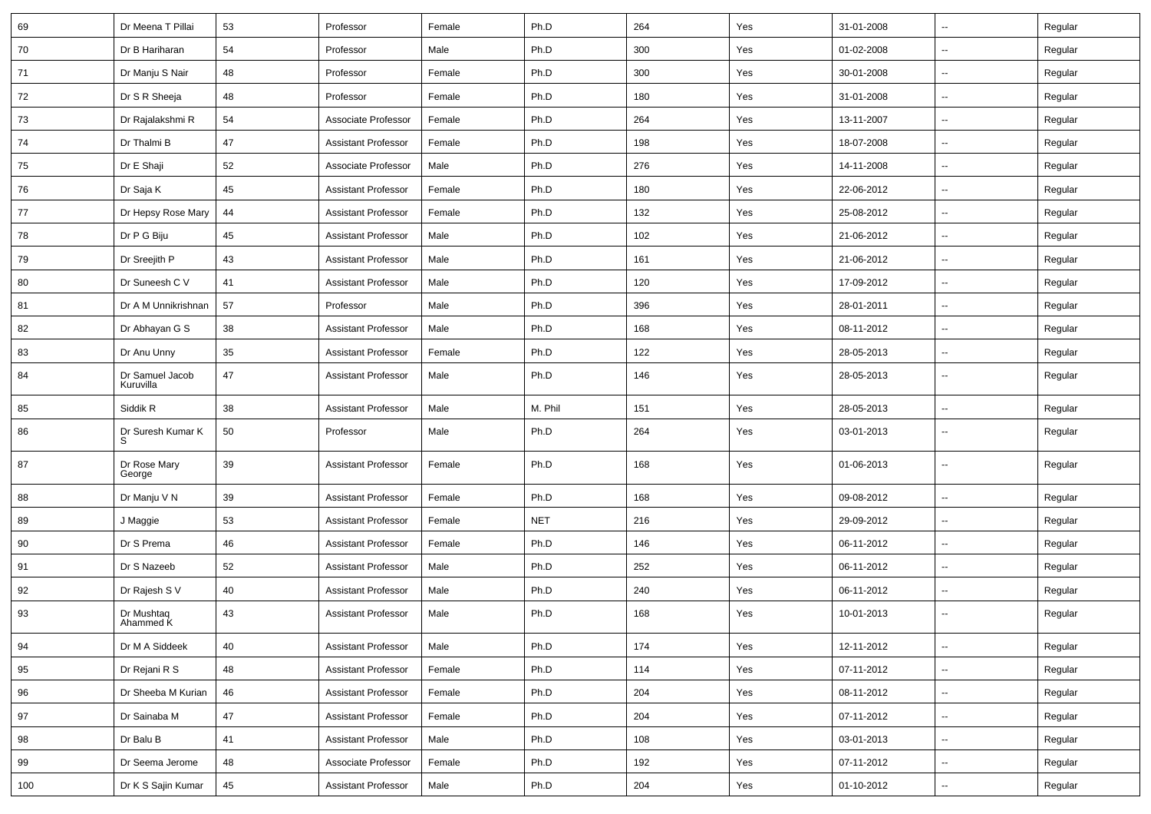| 69  | Dr Meena T Pillai            | 53 | Professor                  | Female | Ph.D       | 264 | Yes | 31-01-2008 | $\sim$                   | Regular |
|-----|------------------------------|----|----------------------------|--------|------------|-----|-----|------------|--------------------------|---------|
| 70  | Dr B Hariharan               | 54 | Professor                  | Male   | Ph.D       | 300 | Yes | 01-02-2008 | $\sim$                   | Regular |
| 71  | Dr Manju S Nair              | 48 | Professor                  | Female | Ph.D       | 300 | Yes | 30-01-2008 | --                       | Regular |
| 72  | Dr S R Sheeja                | 48 | Professor                  | Female | Ph.D       | 180 | Yes | 31-01-2008 | --                       | Regular |
| 73  | Dr Rajalakshmi R             | 54 | Associate Professor        | Female | Ph.D       | 264 | Yes | 13-11-2007 | $\sim$                   | Regular |
| 74  | Dr Thalmi B                  | 47 | <b>Assistant Professor</b> | Female | Ph.D       | 198 | Yes | 18-07-2008 | $\sim$                   | Regular |
| 75  | Dr E Shaji                   | 52 | Associate Professor        | Male   | Ph.D       | 276 | Yes | 14-11-2008 | $\sim$                   | Regular |
| 76  | Dr Saja K                    | 45 | <b>Assistant Professor</b> | Female | Ph.D       | 180 | Yes | 22-06-2012 | $\sim$                   | Regular |
| 77  | Dr Hepsy Rose Mary           | 44 | <b>Assistant Professor</b> | Female | Ph.D       | 132 | Yes | 25-08-2012 | $\overline{\phantom{a}}$ | Regular |
| 78  | Dr P G Biju                  | 45 | <b>Assistant Professor</b> | Male   | Ph.D       | 102 | Yes | 21-06-2012 | $\overline{\phantom{a}}$ | Regular |
| 79  | Dr Sreejith P                | 43 | <b>Assistant Professor</b> | Male   | Ph.D       | 161 | Yes | 21-06-2012 | $\sim$                   | Regular |
| 80  | Dr Suneesh C V               | 41 | <b>Assistant Professor</b> | Male   | Ph.D       | 120 | Yes | 17-09-2012 | $\sim$                   | Regular |
| 81  | Dr A M Unnikrishnan          | 57 | Professor                  | Male   | Ph.D       | 396 | Yes | 28-01-2011 | $\sim$                   | Regular |
| 82  | Dr Abhayan G S               | 38 | <b>Assistant Professor</b> | Male   | Ph.D       | 168 | Yes | 08-11-2012 | $\sim$                   | Regular |
| 83  | Dr Anu Unny                  | 35 | <b>Assistant Professor</b> | Female | Ph.D       | 122 | Yes | 28-05-2013 | $\overline{\phantom{a}}$ | Regular |
| 84  | Dr Samuel Jacob<br>Kuruvilla | 47 | <b>Assistant Professor</b> | Male   | Ph.D       | 146 | Yes | 28-05-2013 | $\overline{\phantom{a}}$ | Regular |
| 85  | Siddik R                     | 38 | <b>Assistant Professor</b> | Male   | M. Phil    | 151 | Yes | 28-05-2013 | $\sim$                   | Regular |
| 86  | Dr Suresh Kumar K<br>S       | 50 | Professor                  | Male   | Ph.D       | 264 | Yes | 03-01-2013 | $\sim$                   | Regular |
| 87  | Dr Rose Mary<br>George       | 39 | <b>Assistant Professor</b> | Female | Ph.D       | 168 | Yes | 01-06-2013 | $\sim$                   | Regular |
| 88  | Dr Manju V N                 | 39 | <b>Assistant Professor</b> | Female | Ph.D       | 168 | Yes | 09-08-2012 | $\sim$                   | Regular |
| 89  | J Maggie                     | 53 | <b>Assistant Professor</b> | Female | <b>NET</b> | 216 | Yes | 29-09-2012 | $\sim$                   | Regular |
| 90  | Dr S Prema                   | 46 | <b>Assistant Professor</b> | Female | Ph.D       | 146 | Yes | 06-11-2012 | $\sim$                   | Regular |
| 91  | Dr S Nazeeb                  | 52 | <b>Assistant Professor</b> | Male   | Ph.D       | 252 | Yes | 06-11-2012 | $\sim$                   | Regular |
| 92  | Dr Rajesh S V                | 40 | <b>Assistant Professor</b> | Male   | Ph.D       | 240 | Yes | 06-11-2012 | $\overline{\phantom{a}}$ | Regular |
| 93  | Dr Mushtaq<br>Ahammed K      | 43 | <b>Assistant Professor</b> | Male   | Ph.D       | 168 | Yes | 10-01-2013 | $\overline{a}$           | Regular |
| 94  | Dr M A Siddeek               | 40 | <b>Assistant Professor</b> | Male   | Ph.D       | 174 | Yes | 12-11-2012 | ш,                       | Regular |
| 95  | Dr Rejani R S                | 48 | <b>Assistant Professor</b> | Female | Ph.D       | 114 | Yes | 07-11-2012 | $\sim$                   | Regular |
| 96  | Dr Sheeba M Kurian           | 46 | <b>Assistant Professor</b> | Female | Ph.D       | 204 | Yes | 08-11-2012 | $\sim$                   | Regular |
| 97  | Dr Sainaba M                 | 47 | <b>Assistant Professor</b> | Female | Ph.D       | 204 | Yes | 07-11-2012 | $\sim$                   | Regular |
| 98  | Dr Balu B                    | 41 | <b>Assistant Professor</b> | Male   | Ph.D       | 108 | Yes | 03-01-2013 | $\sim$                   | Regular |
| 99  | Dr Seema Jerome              | 48 | Associate Professor        | Female | Ph.D       | 192 | Yes | 07-11-2012 | $\sim$                   | Regular |
| 100 | Dr K S Sajin Kumar           | 45 | Assistant Professor        | Male   | Ph.D       | 204 | Yes | 01-10-2012 | Щ,                       | Regular |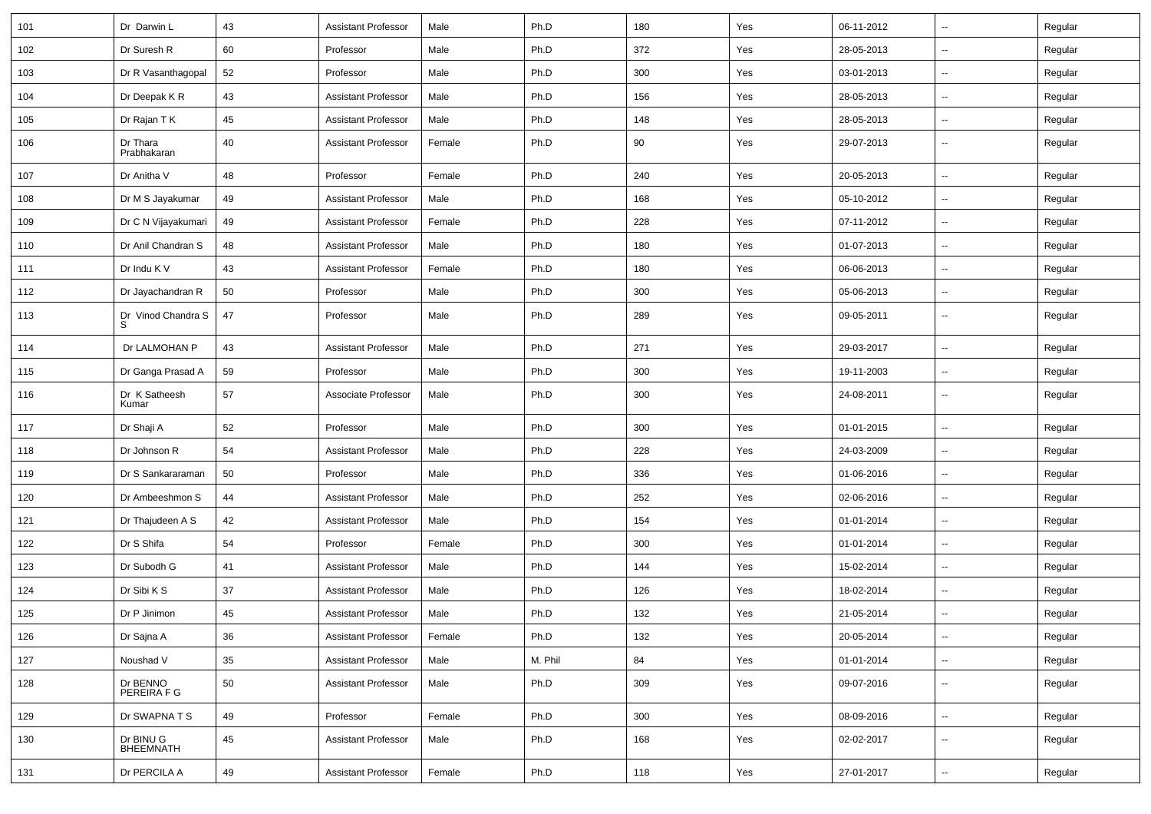| 101 | Dr Darwin L                   | 43 | <b>Assistant Professor</b> | Male   | Ph.D    | 180 | Yes | 06-11-2012 | ⊷.                       | Regular |
|-----|-------------------------------|----|----------------------------|--------|---------|-----|-----|------------|--------------------------|---------|
| 102 | Dr Suresh R                   | 60 | Professor                  | Male   | Ph.D    | 372 | Yes | 28-05-2013 | -−                       | Regular |
| 103 | Dr R Vasanthagopal            | 52 | Professor                  | Male   | Ph.D    | 300 | Yes | 03-01-2013 | -−                       | Regular |
| 104 | Dr Deepak K R                 | 43 | <b>Assistant Professor</b> | Male   | Ph.D    | 156 | Yes | 28-05-2013 | --                       | Regular |
| 105 | Dr Rajan T K                  | 45 | <b>Assistant Professor</b> | Male   | Ph.D    | 148 | Yes | 28-05-2013 | -−                       | Regular |
| 106 | Dr Thara<br>Prabhakaran       | 40 | <b>Assistant Professor</b> | Female | Ph.D    | 90  | Yes | 29-07-2013 | $\sim$                   | Regular |
| 107 | Dr Anitha V                   | 48 | Professor                  | Female | Ph.D    | 240 | Yes | 20-05-2013 | Ξ.                       | Regular |
| 108 | Dr M S Jayakumar              | 49 | <b>Assistant Professor</b> | Male   | Ph.D    | 168 | Yes | 05-10-2012 | $\sim$                   | Regular |
| 109 | Dr C N Vijayakumari           | 49 | <b>Assistant Professor</b> | Female | Ph.D    | 228 | Yes | 07-11-2012 | $\overline{\phantom{a}}$ | Regular |
| 110 | Dr Anil Chandran S            | 48 | <b>Assistant Professor</b> | Male   | Ph.D    | 180 | Yes | 01-07-2013 | ш,                       | Regular |
| 111 | Dr Indu K V                   | 43 | <b>Assistant Professor</b> | Female | Ph.D    | 180 | Yes | 06-06-2013 | --                       | Regular |
| 112 | Dr Jayachandran R             | 50 | Professor                  | Male   | Ph.D    | 300 | Yes | 05-06-2013 | -−                       | Regular |
| 113 | Dr Vinod Chandra S<br>S       | 47 | Professor                  | Male   | Ph.D    | 289 | Yes | 09-05-2011 | $\sim$                   | Regular |
| 114 | Dr LALMOHAN P                 | 43 | <b>Assistant Professor</b> | Male   | Ph.D    | 271 | Yes | 29-03-2017 | Ξ.                       | Regular |
| 115 | Dr Ganga Prasad A             | 59 | Professor                  | Male   | Ph.D    | 300 | Yes | 19-11-2003 | Ξ.                       | Regular |
| 116 | Dr K Satheesh<br>Kumar        | 57 | Associate Professor        | Male   | Ph.D    | 300 | Yes | 24-08-2011 | ⊷.                       | Regular |
| 117 | Dr Shaji A                    | 52 | Professor                  | Male   | Ph.D    | 300 | Yes | 01-01-2015 | $\overline{\phantom{a}}$ | Regular |
| 118 | Dr Johnson R                  | 54 | <b>Assistant Professor</b> | Male   | Ph.D    | 228 | Yes | 24-03-2009 | $\overline{\phantom{a}}$ | Regular |
| 119 | Dr S Sankararaman             | 50 | Professor                  | Male   | Ph.D    | 336 | Yes | 01-06-2016 | $\overline{\phantom{a}}$ | Regular |
| 120 | Dr Ambeeshmon S               | 44 | <b>Assistant Professor</b> | Male   | Ph.D    | 252 | Yes | 02-06-2016 | -−                       | Regular |
| 121 | Dr Thajudeen A S              | 42 | <b>Assistant Professor</b> | Male   | Ph.D    | 154 | Yes | 01-01-2014 | Ξ.                       | Regular |
| 122 | Dr S Shifa                    | 54 | Professor                  | Female | Ph.D    | 300 | Yes | 01-01-2014 | $\sim$                   | Regular |
| 123 | Dr Subodh G                   | 41 | <b>Assistant Professor</b> | Male   | Ph.D    | 144 | Yes | 15-02-2014 | -−                       | Regular |
| 124 | Dr Sibi K S                   | 37 | <b>Assistant Professor</b> | Male   | Ph.D    | 126 | Yes | 18-02-2014 | Ξ.                       | Regular |
| 125 | Dr P Jinimon                  | 45 | <b>Assistant Professor</b> | Male   | Ph.D    | 132 | Yes | 21-05-2014 |                          | Regular |
| 126 | Dr Sajna A                    | 36 | <b>Assistant Professor</b> | Female | Ph.D    | 132 | Yes | 20-05-2014 | н.                       | Regular |
| 127 | Noushad V                     | 35 | <b>Assistant Professor</b> | Male   | M. Phil | 84  | Yes | 01-01-2014 | н.                       | Regular |
| 128 | Dr BENNO<br>PEREIRA F G       | 50 | <b>Assistant Professor</b> | Male   | Ph.D    | 309 | Yes | 09-07-2016 | $\overline{\phantom{a}}$ | Regular |
| 129 | Dr SWAPNATS                   | 49 | Professor                  | Female | Ph.D    | 300 | Yes | 08-09-2016 | $\overline{\phantom{a}}$ | Regular |
| 130 | Dr BINU G<br><b>BHEEMNATH</b> | 45 | <b>Assistant Professor</b> | Male   | Ph.D    | 168 | Yes | 02-02-2017 | н.                       | Regular |
| 131 | Dr PERCILA A                  | 49 | <b>Assistant Professor</b> | Female | Ph.D    | 118 | Yes | 27-01-2017 | ₩,                       | Regular |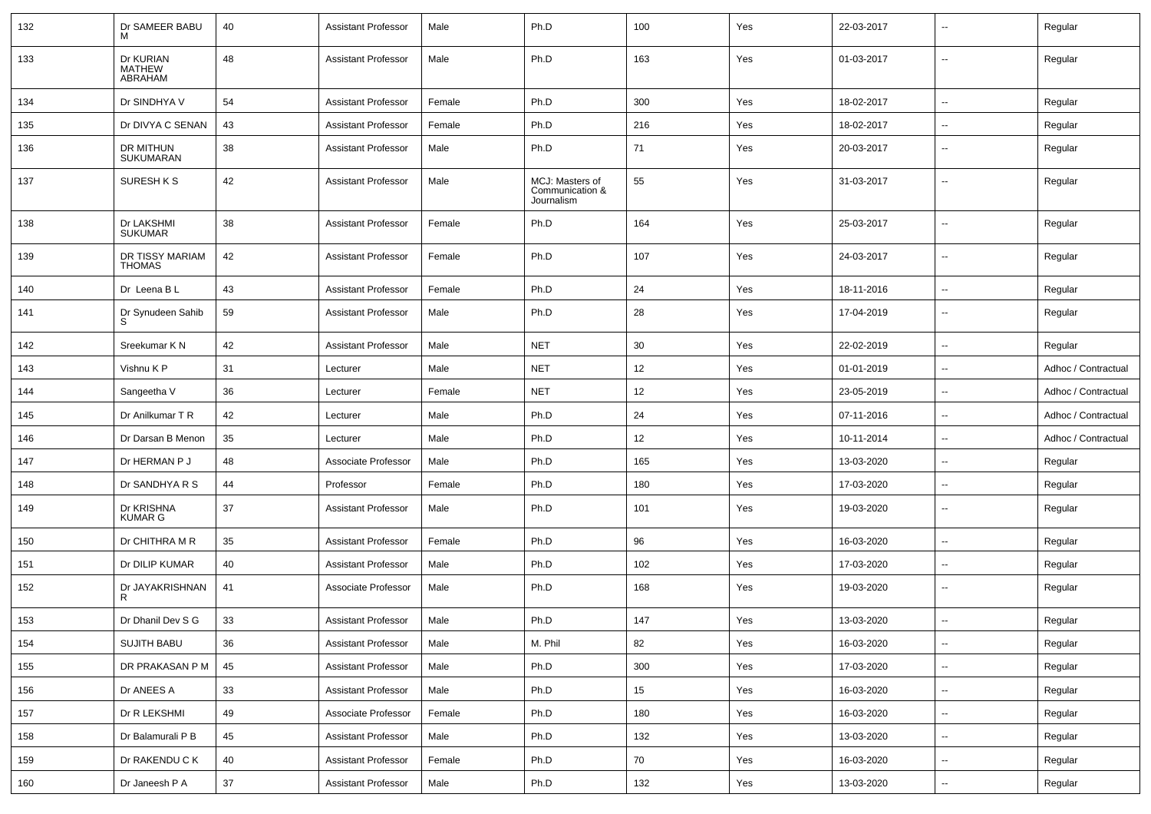| 132 | Dr SAMEER BABU<br>м                   | 40 | <b>Assistant Professor</b> | Male   | Ph.D                                             | 100 | Yes | 22-03-2017 | -−                       | Regular             |
|-----|---------------------------------------|----|----------------------------|--------|--------------------------------------------------|-----|-----|------------|--------------------------|---------------------|
| 133 | Dr KURIAN<br><b>MATHEW</b><br>ABRAHAM | 48 | <b>Assistant Professor</b> | Male   | Ph.D                                             | 163 | Yes | 01-03-2017 | $\overline{\phantom{a}}$ | Regular             |
| 134 | Dr SINDHYA V                          | 54 | <b>Assistant Professor</b> | Female | Ph.D                                             | 300 | Yes | 18-02-2017 | ⊷.                       | Regular             |
| 135 | Dr DIVYA C SENAN                      | 43 | <b>Assistant Professor</b> | Female | Ph.D                                             | 216 | Yes | 18-02-2017 | $\overline{\phantom{a}}$ | Regular             |
| 136 | DR MITHUN<br>SUKUMARAN                | 38 | <b>Assistant Professor</b> | Male   | Ph.D                                             | 71  | Yes | 20-03-2017 | $\overline{\phantom{a}}$ | Regular             |
| 137 | SURESH K S                            | 42 | <b>Assistant Professor</b> | Male   | MCJ: Masters of<br>Communication &<br>Journalism | 55  | Yes | 31-03-2017 | --                       | Regular             |
| 138 | Dr LAKSHMI<br><b>SUKUMAR</b>          | 38 | <b>Assistant Professor</b> | Female | Ph.D                                             | 164 | Yes | 25-03-2017 | $\overline{\phantom{a}}$ | Regular             |
| 139 | DR TISSY MARIAM<br><b>THOMAS</b>      | 42 | <b>Assistant Professor</b> | Female | Ph.D                                             | 107 | Yes | 24-03-2017 | ⊷.                       | Regular             |
| 140 | Dr Leena B L                          | 43 | <b>Assistant Professor</b> | Female | Ph.D                                             | 24  | Yes | 18-11-2016 | ⊷.                       | Regular             |
| 141 | Dr Synudeen Sahib<br>S                | 59 | <b>Assistant Professor</b> | Male   | Ph.D                                             | 28  | Yes | 17-04-2019 | $\overline{\phantom{a}}$ | Regular             |
| 142 | Sreekumar K N                         | 42 | <b>Assistant Professor</b> | Male   | <b>NET</b>                                       | 30  | Yes | 22-02-2019 | $\overline{\phantom{a}}$ | Regular             |
| 143 | Vishnu K P                            | 31 | Lecturer                   | Male   | <b>NET</b>                                       | 12  | Yes | 01-01-2019 | $\overline{\phantom{a}}$ | Adhoc / Contractual |
| 144 | Sangeetha V                           | 36 | Lecturer                   | Female | <b>NET</b>                                       | 12  | Yes | 23-05-2019 | н.                       | Adhoc / Contractual |
| 145 | Dr Anilkumar T R                      | 42 | Lecturer                   | Male   | Ph.D                                             | 24  | Yes | 07-11-2016 | $\overline{\phantom{a}}$ | Adhoc / Contractual |
| 146 | Dr Darsan B Menon                     | 35 | Lecturer                   | Male   | Ph.D                                             | 12  | Yes | 10-11-2014 | $\overline{\phantom{a}}$ | Adhoc / Contractual |
| 147 | Dr HERMAN P J                         | 48 | Associate Professor        | Male   | Ph.D                                             | 165 | Yes | 13-03-2020 | ⊷.                       | Regular             |
| 148 | Dr SANDHYA R S                        | 44 | Professor                  | Female | Ph.D                                             | 180 | Yes | 17-03-2020 | $\overline{\phantom{a}}$ | Regular             |
| 149 | Dr KRISHNA<br><b>KUMAR G</b>          | 37 | <b>Assistant Professor</b> | Male   | Ph.D                                             | 101 | Yes | 19-03-2020 | --                       | Regular             |
| 150 | Dr CHITHRA M R                        | 35 | <b>Assistant Professor</b> | Female | Ph.D                                             | 96  | Yes | 16-03-2020 | --                       | Regular             |
| 151 | Dr DILIP KUMAR                        | 40 | <b>Assistant Professor</b> | Male   | Ph.D                                             | 102 | Yes | 17-03-2020 | --                       | Regular             |
| 152 | Dr JAYAKRISHNAN<br>R                  | 41 | Associate Professor        | Male   | Ph.D                                             | 168 | Yes | 19-03-2020 | $\overline{a}$           | Regular             |
| 153 | Dr Dhanil Dev S G                     | 33 | <b>Assistant Professor</b> | Male   | Ph.D                                             | 147 | Yes | 13-03-2020 | --                       | Regular             |
| 154 | SUJITH BABU                           | 36 | <b>Assistant Professor</b> | Male   | M. Phil                                          | 82  | Yes | 16-03-2020 | $\sim$                   | Regular             |
| 155 | DR PRAKASAN P M                       | 45 | <b>Assistant Professor</b> | Male   | Ph.D                                             | 300 | Yes | 17-03-2020 | $\sim$                   | Regular             |
| 156 | Dr ANEES A                            | 33 | <b>Assistant Professor</b> | Male   | Ph.D                                             | 15  | Yes | 16-03-2020 | $\overline{\phantom{a}}$ | Regular             |
| 157 | Dr R LEKSHMI                          | 49 | Associate Professor        | Female | Ph.D                                             | 180 | Yes | 16-03-2020 | $\overline{\phantom{a}}$ | Regular             |
| 158 | Dr Balamurali P B                     | 45 | Assistant Professor        | Male   | Ph.D                                             | 132 | Yes | 13-03-2020 | ш.                       | Regular             |
| 159 | Dr RAKENDU C K                        | 40 | <b>Assistant Professor</b> | Female | Ph.D                                             | 70  | Yes | 16-03-2020 | $\sim$                   | Regular             |
| 160 | Dr Janeesh P A                        | 37 | <b>Assistant Professor</b> | Male   | Ph.D                                             | 132 | Yes | 13-03-2020 | $\sim$                   | Regular             |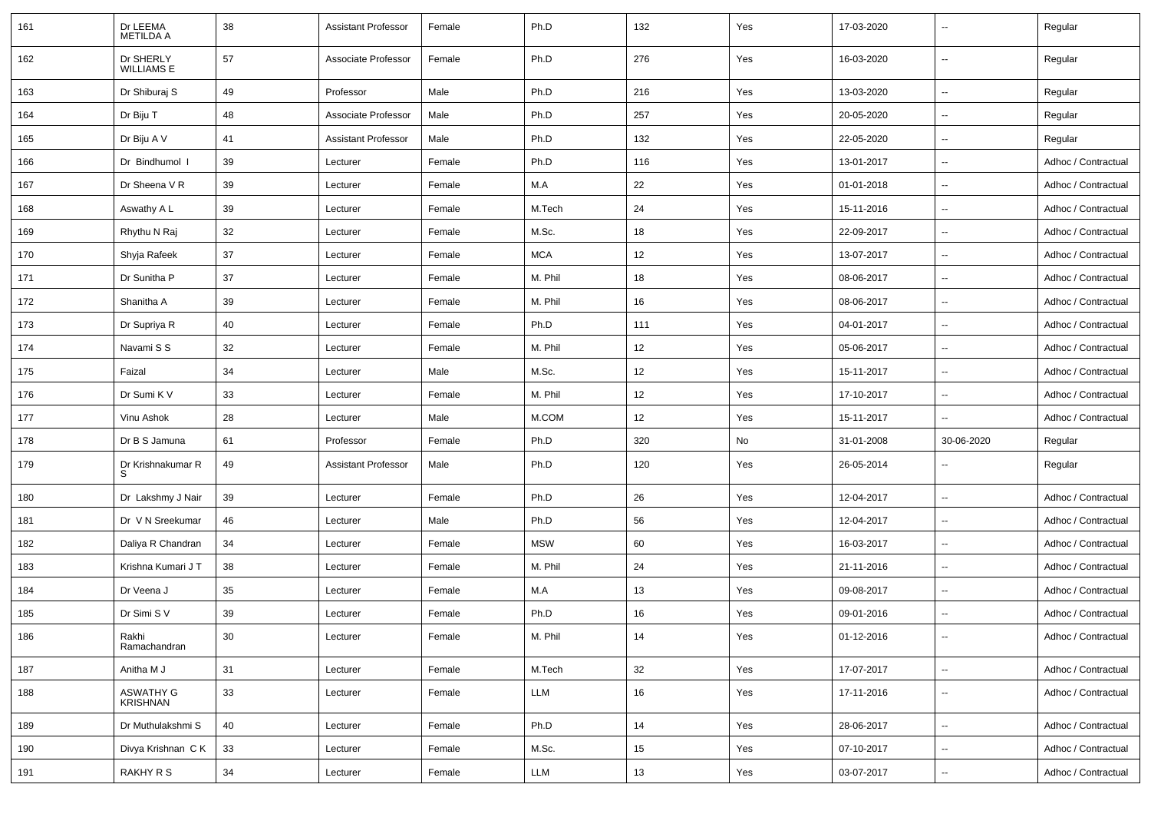| 161 | Dr LEEMA<br><b>METILDA A</b> | 38 | <b>Assistant Professor</b> | Female | Ph.D       | 132 | Yes | 17-03-2020 |                          | Regular             |
|-----|------------------------------|----|----------------------------|--------|------------|-----|-----|------------|--------------------------|---------------------|
| 162 | Dr SHERLY<br>WILLIAMS E      | 57 | Associate Professor        | Female | Ph.D       | 276 | Yes | 16-03-2020 | $\sim$                   | Regular             |
| 163 | Dr Shiburaj S                | 49 | Professor                  | Male   | Ph.D       | 216 | Yes | 13-03-2020 | $\sim$                   | Regular             |
| 164 | Dr Biju T                    | 48 | Associate Professor        | Male   | Ph.D       | 257 | Yes | 20-05-2020 | $\sim$                   | Regular             |
| 165 | Dr Biju A V                  | 41 | <b>Assistant Professor</b> | Male   | Ph.D       | 132 | Yes | 22-05-2020 | $\overline{\phantom{a}}$ | Regular             |
| 166 | Dr Bindhumol I               | 39 | Lecturer                   | Female | Ph.D       | 116 | Yes | 13-01-2017 | $\sim$                   | Adhoc / Contractual |
| 167 | Dr Sheena V R                | 39 | Lecturer                   | Female | M.A        | 22  | Yes | 01-01-2018 | $\ddot{\phantom{a}}$     | Adhoc / Contractual |
| 168 | Aswathy A L                  | 39 | Lecturer                   | Female | M.Tech     | 24  | Yes | 15-11-2016 | $\sim$                   | Adhoc / Contractual |
| 169 | Rhythu N Raj                 | 32 | Lecturer                   | Female | M.Sc.      | 18  | Yes | 22-09-2017 | $\sim$                   | Adhoc / Contractual |
| 170 | Shyja Rafeek                 | 37 | Lecturer                   | Female | <b>MCA</b> | 12  | Yes | 13-07-2017 | $\sim$                   | Adhoc / Contractual |
| 171 | Dr Sunitha P                 | 37 | Lecturer                   | Female | M. Phil    | 18  | Yes | 08-06-2017 | $\overline{\phantom{a}}$ | Adhoc / Contractual |
| 172 | Shanitha A                   | 39 | Lecturer                   | Female | M. Phil    | 16  | Yes | 08-06-2017 | $\overline{\phantom{a}}$ | Adhoc / Contractual |
| 173 | Dr Supriya R                 | 40 | Lecturer                   | Female | Ph.D       | 111 | Yes | 04-01-2017 | $\ddot{\phantom{a}}$     | Adhoc / Contractual |
| 174 | Navami S S                   | 32 | Lecturer                   | Female | M. Phil    | 12  | Yes | 05-06-2017 | $\sim$                   | Adhoc / Contractual |
| 175 | Faizal                       | 34 | Lecturer                   | Male   | M.Sc.      | 12  | Yes | 15-11-2017 | $\sim$                   | Adhoc / Contractual |
| 176 | Dr Sumi K V                  | 33 | Lecturer                   | Female | M. Phil    | 12  | Yes | 17-10-2017 | $\sim$                   | Adhoc / Contractual |
| 177 | Vinu Ashok                   | 28 | Lecturer                   | Male   | M.COM      | 12  | Yes | 15-11-2017 | $\overline{\phantom{a}}$ | Adhoc / Contractual |
| 178 | Dr B S Jamuna                | 61 | Professor                  | Female | Ph.D       | 320 | No  | 31-01-2008 | 30-06-2020               | Regular             |
| 179 | Dr Krishnakumar R<br>S       | 49 | <b>Assistant Professor</b> | Male   | Ph.D       | 120 | Yes | 26-05-2014 | $\overline{\phantom{a}}$ | Regular             |
| 180 | Dr Lakshmy J Nair            | 39 | Lecturer                   | Female | Ph.D       | 26  | Yes | 12-04-2017 | $\ddot{\phantom{a}}$     | Adhoc / Contractual |
| 181 | Dr V N Sreekumar             | 46 | Lecturer                   | Male   | Ph.D       | 56  | Yes | 12-04-2017 | $\overline{\phantom{a}}$ | Adhoc / Contractual |
| 182 | Daliya R Chandran            | 34 | Lecturer                   | Female | <b>MSW</b> | 60  | Yes | 16-03-2017 | $\sim$                   | Adhoc / Contractual |
| 183 | Krishna Kumari J T           | 38 | Lecturer                   | Female | M. Phil    | 24  | Yes | 21-11-2016 | $\overline{\phantom{a}}$ | Adhoc / Contractual |
| 184 | Dr Veena J                   | 35 | Lecturer                   | Female | M.A        | 13  | Yes | 09-08-2017 | $\overline{\phantom{a}}$ | Adhoc / Contractual |
| 185 | Dr Simi S V                  | 39 | Lecturer                   | Female | Ph.D       | 16  | Yes | 09-01-2016 |                          | Adhoc / Contractual |
| 186 | Rakhi<br>Ramachandran        | 30 | Lecturer                   | Female | M. Phil    | 14  | Yes | 01-12-2016 | $\overline{\phantom{a}}$ | Adhoc / Contractual |
| 187 | Anitha M J                   | 31 | Lecturer                   | Female | M.Tech     | 32  | Yes | 17-07-2017 | $\overline{\phantom{a}}$ | Adhoc / Contractual |
| 188 | <b>ASWATHY G</b><br>KRISHNAN | 33 | Lecturer                   | Female | LLM        | 16  | Yes | 17-11-2016 | $\sim$                   | Adhoc / Contractual |
| 189 | Dr Muthulakshmi S            | 40 | Lecturer                   | Female | Ph.D       | 14  | Yes | 28-06-2017 | $\sim$                   | Adhoc / Contractual |
| 190 | Divya Krishnan CK            | 33 | Lecturer                   | Female | M.Sc.      | 15  | Yes | 07-10-2017 | $\overline{\phantom{a}}$ | Adhoc / Contractual |
| 191 | <b>RAKHY R S</b>             | 34 | Lecturer                   | Female | LLM        | 13  | Yes | 03-07-2017 | $\overline{\phantom{a}}$ | Adhoc / Contractual |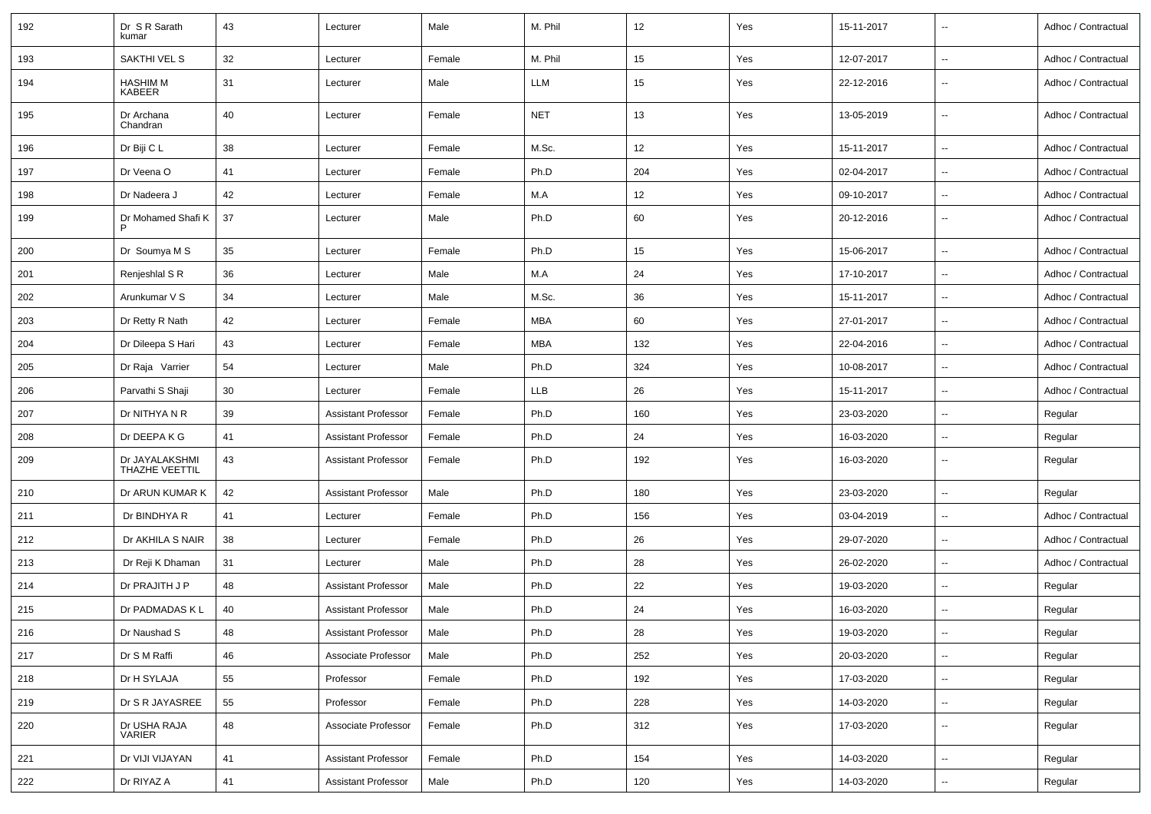| 192 | Dr S R Sarath<br>kumar           | 43 | Lecturer                   | Male   | M. Phil    | 12  | Yes | 15-11-2017 | $\overline{\phantom{a}}$ | Adhoc / Contractual |
|-----|----------------------------------|----|----------------------------|--------|------------|-----|-----|------------|--------------------------|---------------------|
| 193 | SAKTHI VEL S                     | 32 | Lecturer                   | Female | M. Phil    | 15  | Yes | 12-07-2017 | $\overline{\phantom{a}}$ | Adhoc / Contractual |
| 194 | <b>HASHIM M</b><br><b>KABEER</b> | 31 | Lecturer                   | Male   | LLM        | 15  | Yes | 22-12-2016 | $\sim$                   | Adhoc / Contractual |
| 195 | Dr Archana<br>Chandran           | 40 | Lecturer                   | Female | <b>NET</b> | 13  | Yes | 13-05-2019 | $\overline{\phantom{a}}$ | Adhoc / Contractual |
| 196 | Dr Biji C L                      | 38 | Lecturer                   | Female | M.Sc.      | 12  | Yes | 15-11-2017 | $\overline{\phantom{a}}$ | Adhoc / Contractual |
| 197 | Dr Veena O                       | 41 | Lecturer                   | Female | Ph.D       | 204 | Yes | 02-04-2017 | $\overline{\phantom{a}}$ | Adhoc / Contractual |
| 198 | Dr Nadeera J                     | 42 | Lecturer                   | Female | M.A        | 12  | Yes | 09-10-2017 | $\overline{\phantom{a}}$ | Adhoc / Contractual |
| 199 | Dr Mohamed Shafi K<br>P          | 37 | Lecturer                   | Male   | Ph.D       | 60  | Yes | 20-12-2016 | $\sim$                   | Adhoc / Contractual |
| 200 | Dr Soumya M S                    | 35 | Lecturer                   | Female | Ph.D       | 15  | Yes | 15-06-2017 | $\overline{\phantom{a}}$ | Adhoc / Contractual |
| 201 | Renjeshlal S R                   | 36 | Lecturer                   | Male   | M.A        | 24  | Yes | 17-10-2017 | --                       | Adhoc / Contractual |
| 202 | Arunkumar V S                    | 34 | Lecturer                   | Male   | M.Sc.      | 36  | Yes | 15-11-2017 | $\sim$                   | Adhoc / Contractual |
| 203 | Dr Retty R Nath                  | 42 | Lecturer                   | Female | MBA        | 60  | Yes | 27-01-2017 | $\overline{\phantom{a}}$ | Adhoc / Contractual |
| 204 | Dr Dileepa S Hari                | 43 | Lecturer                   | Female | MBA        | 132 | Yes | 22-04-2016 | $\overline{\phantom{a}}$ | Adhoc / Contractual |
| 205 | Dr Raja Varrier                  | 54 | Lecturer                   | Male   | Ph.D       | 324 | Yes | 10-08-2017 | --                       | Adhoc / Contractual |
| 206 | Parvathi S Shaji                 | 30 | Lecturer                   | Female | LLB        | 26  | Yes | 15-11-2017 | $\overline{\phantom{a}}$ | Adhoc / Contractual |
| 207 | Dr NITHYA N R                    | 39 | <b>Assistant Professor</b> | Female | Ph.D       | 160 | Yes | 23-03-2020 | $\overline{\phantom{a}}$ | Regular             |
| 208 | Dr DEEPA K G                     | 41 | <b>Assistant Professor</b> | Female | Ph.D       | 24  | Yes | 16-03-2020 | $\overline{\phantom{a}}$ | Regular             |
| 209 | Dr JAYALAKSHMI<br>THAZHE VEETTIL | 43 | <b>Assistant Professor</b> | Female | Ph.D       | 192 | Yes | 16-03-2020 | $\overline{\phantom{a}}$ | Regular             |
| 210 | Dr ARUN KUMAR K                  | 42 | <b>Assistant Professor</b> | Male   | Ph.D       | 180 | Yes | 23-03-2020 | $\overline{\phantom{a}}$ | Regular             |
| 211 | Dr BINDHYA R                     | 41 | Lecturer                   | Female | Ph.D       | 156 | Yes | 03-04-2019 | $\overline{\phantom{a}}$ | Adhoc / Contractual |
| 212 | Dr AKHILA S NAIR                 | 38 | Lecturer                   | Female | Ph.D       | 26  | Yes | 29-07-2020 | $\overline{\phantom{a}}$ | Adhoc / Contractual |
| 213 | Dr Reji K Dhaman                 | 31 | Lecturer                   | Male   | Ph.D       | 28  | Yes | 26-02-2020 | $\sim$                   | Adhoc / Contractual |
| 214 | Dr PRAJITH J P                   | 48 | <b>Assistant Professor</b> | Male   | Ph.D       | 22  | Yes | 19-03-2020 | $\overline{\phantom{a}}$ | Regular             |
| 215 | Dr PADMADAS K L                  | 40 | <b>Assistant Professor</b> | Male   | Ph.D       | 24  | Yes | 16-03-2020 | Ξ.                       | Regular             |
| 216 | Dr Naushad S                     | 48 | <b>Assistant Professor</b> | Male   | Ph.D       | 28  | Yes | 19-03-2020 | $\overline{\phantom{a}}$ | Regular             |
| 217 | Dr S M Raffi                     | 46 | Associate Professor        | Male   | Ph.D       | 252 | Yes | 20-03-2020 | $\sim$                   | Regular             |
| 218 | Dr H SYLAJA                      | 55 | Professor                  | Female | Ph.D       | 192 | Yes | 17-03-2020 | $\overline{\phantom{a}}$ | Regular             |
| 219 | Dr S R JAYASREE                  | 55 | Professor                  | Female | Ph.D       | 228 | Yes | 14-03-2020 | $\overline{\phantom{a}}$ | Regular             |
| 220 | Dr USHA RAJA<br>VARIER           | 48 | Associate Professor        | Female | Ph.D       | 312 | Yes | 17-03-2020 | $\overline{\phantom{a}}$ | Regular             |
| 221 | Dr VIJI VIJAYAN                  | 41 | <b>Assistant Professor</b> | Female | Ph.D       | 154 | Yes | 14-03-2020 | $\overline{\phantom{a}}$ | Regular             |
| 222 | Dr RIYAZ A                       | 41 | <b>Assistant Professor</b> | Male   | Ph.D       | 120 | Yes | 14-03-2020 | $\overline{\phantom{a}}$ | Regular             |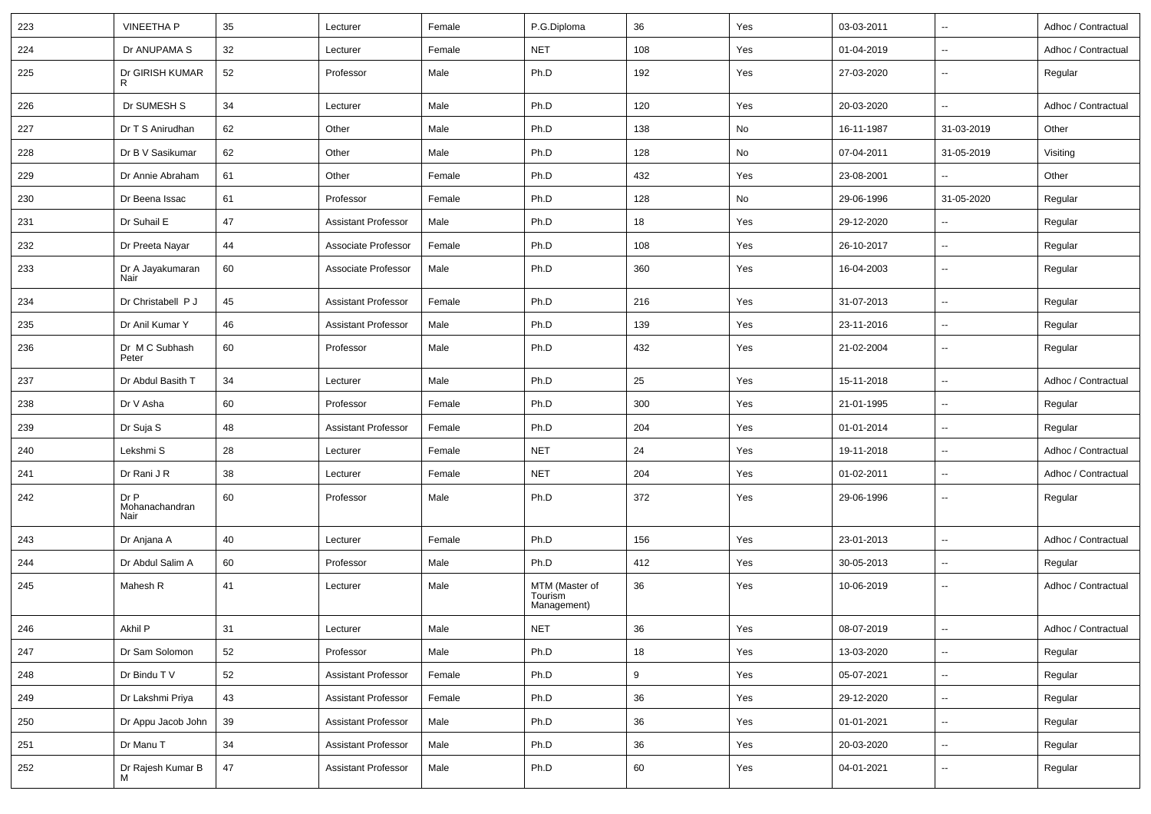| 223 | <b>VINEETHA P</b>              | 35 | Lecturer                   | Female | P.G.Diploma                              | 36  | Yes | 03-03-2011 | $\overline{\phantom{a}}$ | Adhoc / Contractual |
|-----|--------------------------------|----|----------------------------|--------|------------------------------------------|-----|-----|------------|--------------------------|---------------------|
| 224 | Dr ANUPAMA S                   | 32 | Lecturer                   | Female | <b>NET</b>                               | 108 | Yes | 01-04-2019 | $\overline{\phantom{a}}$ | Adhoc / Contractual |
| 225 | Dr GIRISH KUMAR<br>R           | 52 | Professor                  | Male   | Ph.D                                     | 192 | Yes | 27-03-2020 | $\overline{\phantom{a}}$ | Regular             |
| 226 | Dr SUMESH S                    | 34 | Lecturer                   | Male   | Ph.D                                     | 120 | Yes | 20-03-2020 | $\overline{\phantom{a}}$ | Adhoc / Contractual |
| 227 | Dr T S Anirudhan               | 62 | Other                      | Male   | Ph.D                                     | 138 | No  | 16-11-1987 | 31-03-2019               | Other               |
| 228 | Dr B V Sasikumar               | 62 | Other                      | Male   | Ph.D                                     | 128 | No  | 07-04-2011 | 31-05-2019               | Visiting            |
| 229 | Dr Annie Abraham               | 61 | Other                      | Female | Ph.D                                     | 432 | Yes | 23-08-2001 |                          | Other               |
| 230 | Dr Beena Issac                 | 61 | Professor                  | Female | Ph.D                                     | 128 | No  | 29-06-1996 | 31-05-2020               | Regular             |
| 231 | Dr Suhail E                    | 47 | <b>Assistant Professor</b> | Male   | Ph.D                                     | 18  | Yes | 29-12-2020 | $\overline{\phantom{a}}$ | Regular             |
| 232 | Dr Preeta Nayar                | 44 | Associate Professor        | Female | Ph.D                                     | 108 | Yes | 26-10-2017 | $\overline{\phantom{a}}$ | Regular             |
| 233 | Dr A Jayakumaran<br>Nair       | 60 | Associate Professor        | Male   | Ph.D                                     | 360 | Yes | 16-04-2003 | $\overline{\phantom{a}}$ | Regular             |
| 234 | Dr Christabell P J             | 45 | <b>Assistant Professor</b> | Female | Ph.D                                     | 216 | Yes | 31-07-2013 | $\overline{\phantom{a}}$ | Regular             |
| 235 | Dr Anil Kumar Y                | 46 | <b>Assistant Professor</b> | Male   | Ph.D                                     | 139 | Yes | 23-11-2016 | $\overline{\phantom{a}}$ | Regular             |
| 236 | Dr M C Subhash<br>Peter        | 60 | Professor                  | Male   | Ph.D                                     | 432 | Yes | 21-02-2004 | $\overline{\phantom{a}}$ | Regular             |
| 237 | Dr Abdul Basith T              | 34 | Lecturer                   | Male   | Ph.D                                     | 25  | Yes | 15-11-2018 | $\overline{\phantom{a}}$ | Adhoc / Contractual |
| 238 | Dr V Asha                      | 60 | Professor                  | Female | Ph.D                                     | 300 | Yes | 21-01-1995 | $\overline{\phantom{a}}$ | Regular             |
| 239 | Dr Suja S                      | 48 | <b>Assistant Professor</b> | Female | Ph.D                                     | 204 | Yes | 01-01-2014 | $\overline{\phantom{a}}$ | Regular             |
| 240 | Lekshmi S                      | 28 | Lecturer                   | Female | <b>NET</b>                               | 24  | Yes | 19-11-2018 | $\overline{\phantom{a}}$ | Adhoc / Contractual |
| 241 | Dr Rani J R                    | 38 | Lecturer                   | Female | <b>NET</b>                               | 204 | Yes | 01-02-2011 | $\overline{\phantom{a}}$ | Adhoc / Contractual |
| 242 | Dr P<br>Mohanachandran<br>Nair | 60 | Professor                  | Male   | Ph.D                                     | 372 | Yes | 29-06-1996 | $\overline{\phantom{a}}$ | Regular             |
| 243 | Dr Anjana A                    | 40 | Lecturer                   | Female | Ph.D                                     | 156 | Yes | 23-01-2013 | $\overline{\phantom{a}}$ | Adhoc / Contractual |
| 244 | Dr Abdul Salim A               | 60 | Professor                  | Male   | Ph.D                                     | 412 | Yes | 30-05-2013 | $\overline{\phantom{a}}$ | Regular             |
| 245 | Mahesh R                       | 41 | Lecturer                   | Male   | MTM (Master of<br>Tourism<br>Management) | 36  | Yes | 10-06-2019 | $\sim$                   | Adhoc / Contractual |
| 246 | Akhil P                        | 31 | Lecturer                   | Male   | <b>NET</b>                               | 36  | Yes | 08-07-2019 |                          | Adhoc / Contractual |
| 247 | Dr Sam Solomon                 | 52 | Professor                  | Male   | Ph.D                                     | 18  | Yes | 13-03-2020 | $\overline{\phantom{a}}$ | Regular             |
| 248 | Dr Bindu T V                   | 52 | <b>Assistant Professor</b> | Female | Ph.D                                     | 9   | Yes | 05-07-2021 | $\overline{\phantom{a}}$ | Regular             |
| 249 | Dr Lakshmi Priya               | 43 | <b>Assistant Professor</b> | Female | Ph.D                                     | 36  | Yes | 29-12-2020 | $\sim$                   | Regular             |
| 250 | Dr Appu Jacob John             | 39 | <b>Assistant Professor</b> | Male   | Ph.D                                     | 36  | Yes | 01-01-2021 | $\overline{\phantom{a}}$ | Regular             |
| 251 | Dr Manu T                      | 34 | <b>Assistant Professor</b> | Male   | Ph.D                                     | 36  | Yes | 20-03-2020 | $\overline{\phantom{a}}$ | Regular             |
| 252 | Dr Rajesh Kumar B<br>М         | 47 | <b>Assistant Professor</b> | Male   | Ph.D                                     | 60  | Yes | 04-01-2021 | $\overline{\phantom{a}}$ | Regular             |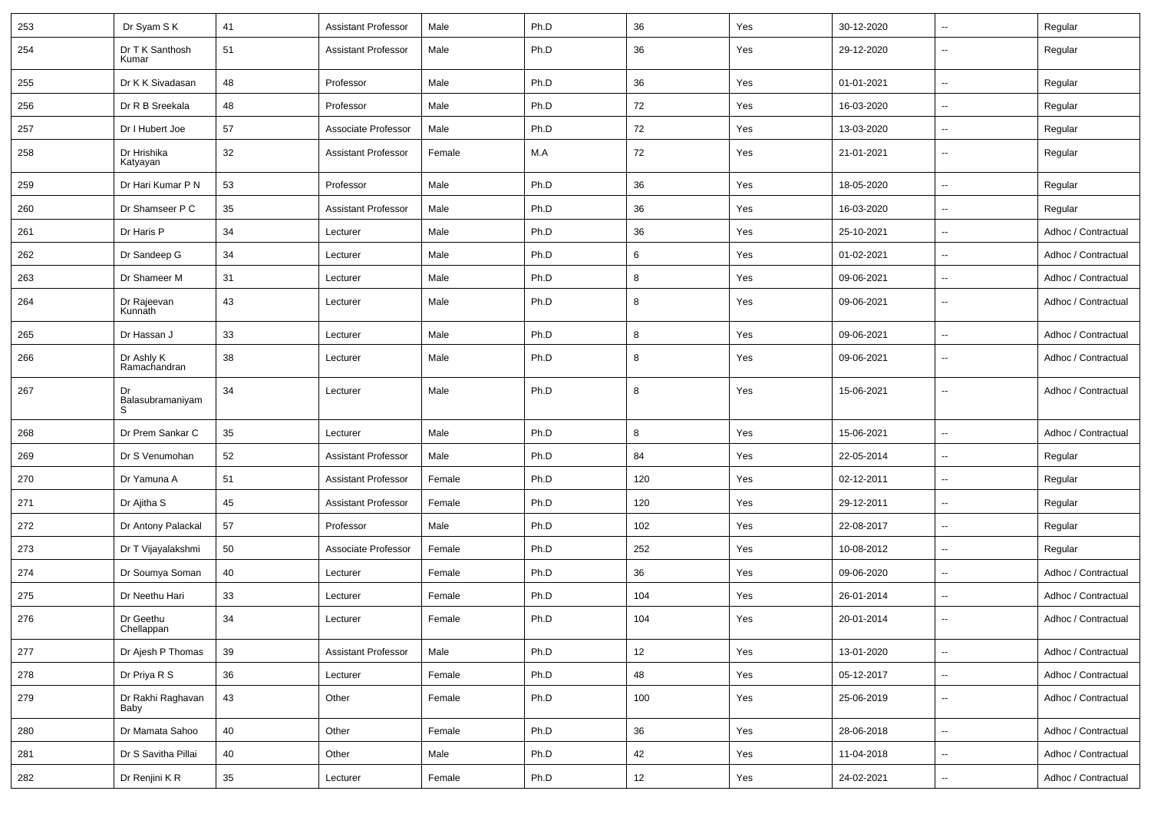| 253 | Dr Syam S K                 | 41 | <b>Assistant Professor</b> | Male   | Ph.D | 36  | Yes | 30-12-2020 | $\overline{\phantom{a}}$ | Regular             |
|-----|-----------------------------|----|----------------------------|--------|------|-----|-----|------------|--------------------------|---------------------|
| 254 | Dr T K Santhosh<br>Kumar    | 51 | <b>Assistant Professor</b> | Male   | Ph.D | 36  | Yes | 29-12-2020 | $\overline{\phantom{a}}$ | Regular             |
| 255 | Dr K K Sivadasan            | 48 | Professor                  | Male   | Ph.D | 36  | Yes | 01-01-2021 | $\overline{\phantom{a}}$ | Regular             |
| 256 | Dr R B Sreekala             | 48 | Professor                  | Male   | Ph.D | 72  | Yes | 16-03-2020 | $\overline{\phantom{a}}$ | Regular             |
| 257 | Dr I Hubert Joe             | 57 | Associate Professor        | Male   | Ph.D | 72  | Yes | 13-03-2020 | --                       | Regular             |
| 258 | Dr Hrishika<br>Katyayan     | 32 | <b>Assistant Professor</b> | Female | M.A  | 72  | Yes | 21-01-2021 | $\overline{\phantom{a}}$ | Regular             |
| 259 | Dr Hari Kumar P N           | 53 | Professor                  | Male   | Ph.D | 36  | Yes | 18-05-2020 | Щ,                       | Regular             |
| 260 | Dr Shamseer P C             | 35 | <b>Assistant Professor</b> | Male   | Ph.D | 36  | Yes | 16-03-2020 | Щ,                       | Regular             |
| 261 | Dr Haris P                  | 34 | Lecturer                   | Male   | Ph.D | 36  | Yes | 25-10-2021 | $\overline{\phantom{a}}$ | Adhoc / Contractual |
| 262 | Dr Sandeep G                | 34 | Lecturer                   | Male   | Ph.D | 6   | Yes | 01-02-2021 | $\overline{\phantom{a}}$ | Adhoc / Contractual |
| 263 | Dr Shameer M                | 31 | Lecturer                   | Male   | Ph.D | 8   | Yes | 09-06-2021 | $\overline{\phantom{a}}$ | Adhoc / Contractual |
| 264 | Dr Rajeevan<br>Kunnath      | 43 | Lecturer                   | Male   | Ph.D | 8   | Yes | 09-06-2021 | $\overline{\phantom{a}}$ | Adhoc / Contractual |
| 265 | Dr Hassan J                 | 33 | Lecturer                   | Male   | Ph.D | 8   | Yes | 09-06-2021 | $\overline{\phantom{a}}$ | Adhoc / Contractual |
| 266 | Dr Ashly K<br>Ramachandran  | 38 | Lecturer                   | Male   | Ph.D | 8   | Yes | 09-06-2021 | $\overline{\phantom{a}}$ | Adhoc / Contractual |
| 267 | Dr<br>Balasubramaniyam<br>S | 34 | Lecturer                   | Male   | Ph.D | 8   | Yes | 15-06-2021 | $\overline{\phantom{a}}$ | Adhoc / Contractual |
| 268 | Dr Prem Sankar C            | 35 | Lecturer                   | Male   | Ph.D | 8   | Yes | 15-06-2021 | $\overline{\phantom{a}}$ | Adhoc / Contractual |
| 269 | Dr S Venumohan              | 52 | <b>Assistant Professor</b> | Male   | Ph.D | 84  | Yes | 22-05-2014 | $\overline{\phantom{a}}$ | Regular             |
| 270 | Dr Yamuna A                 | 51 | <b>Assistant Professor</b> | Female | Ph.D | 120 | Yes | 02-12-2011 | Ξ.                       | Regular             |
| 271 | Dr Ajitha S                 | 45 | <b>Assistant Professor</b> | Female | Ph.D | 120 | Yes | 29-12-2011 | --                       | Regular             |
| 272 | Dr Antony Palackal          | 57 | Professor                  | Male   | Ph.D | 102 | Yes | 22-08-2017 | $\overline{\phantom{a}}$ | Regular             |
| 273 | Dr T Vijayalakshmi          | 50 | Associate Professor        | Female | Ph.D | 252 | Yes | 10-08-2012 | Ξ.                       | Regular             |
| 274 | Dr Soumya Soman             | 40 | Lecturer                   | Female | Ph.D | 36  | Yes | 09-06-2020 | --                       | Adhoc / Contractual |
| 275 | Dr Neethu Hari              | 33 | Lecturer                   | Female | Ph.D | 104 | Yes | 26-01-2014 | $\overline{\phantom{a}}$ | Adhoc / Contractual |
| 276 | Dr Geethu<br>Chellappan     | 34 | Lecturer                   | Female | Ph.D | 104 | Yes | 20-01-2014 | $\overline{\phantom{a}}$ | Adhoc / Contractual |
| 277 | Dr Ajesh P Thomas           | 39 | <b>Assistant Professor</b> | Male   | Ph.D | 12  | Yes | 13-01-2020 | $\overline{\phantom{a}}$ | Adhoc / Contractual |
| 278 | Dr Priya R S                | 36 | Lecturer                   | Female | Ph.D | 48  | Yes | 05-12-2017 | $\overline{\phantom{a}}$ | Adhoc / Contractual |
| 279 | Dr Rakhi Raghavan<br>Baby   | 43 | Other                      | Female | Ph.D | 100 | Yes | 25-06-2019 | Щ,                       | Adhoc / Contractual |
| 280 | Dr Mamata Sahoo             | 40 | Other                      | Female | Ph.D | 36  | Yes | 28-06-2018 | Ц.                       | Adhoc / Contractual |
| 281 | Dr S Savitha Pillai         | 40 | Other                      | Male   | Ph.D | 42  | Yes | 11-04-2018 | Ц.                       | Adhoc / Contractual |
| 282 | Dr Renjini K R              | 35 | Lecturer                   | Female | Ph.D | 12  | Yes | 24-02-2021 | $\overline{\phantom{a}}$ | Adhoc / Contractual |